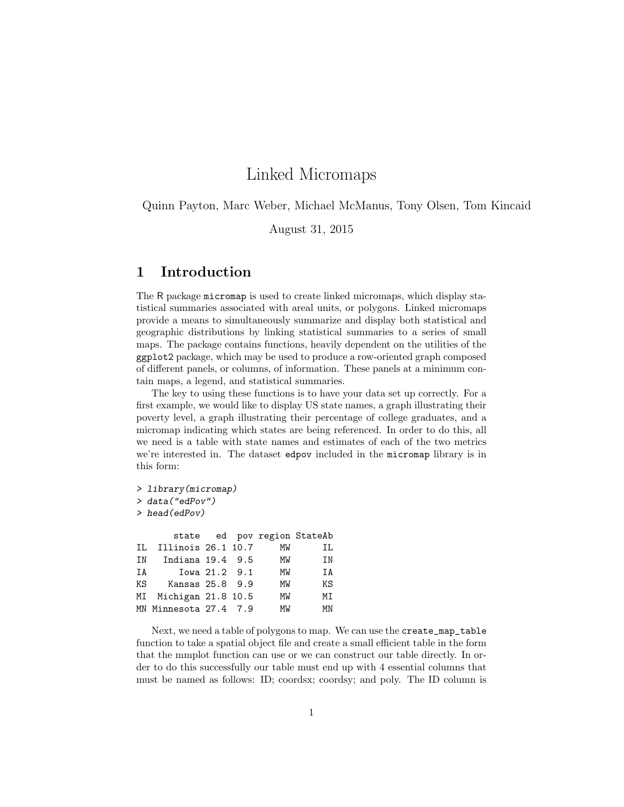# Linked Micromaps

Quinn Payton, Marc Weber, Michael McManus, Tony Olsen, Tom Kincaid

August 31, 2015

### 1 Introduction

The R package micromap is used to create linked micromaps, which display statistical summaries associated with areal units, or polygons. Linked micromaps provide a means to simultaneously summarize and display both statistical and geographic distributions by linking statistical summaries to a series of small maps. The package contains functions, heavily dependent on the utilities of the ggplot2 package, which may be used to produce a row-oriented graph composed of different panels, or columns, of information. These panels at a minimum contain maps, a legend, and statistical summaries.

The key to using these functions is to have your data set up correctly. For a first example, we would like to display US state names, a graph illustrating their poverty level, a graph illustrating their percentage of college graduates, and a micromap indicating which states are being referenced. In order to do this, all we need is a table with state names and estimates of each of the two metrics we're interested in. The dataset edpov included in the micromap library is in this form:

*> library(micromap) > data("edPov") > head(edPov)*

|    |  | МW                                                                                                                           | ΙL                          |
|----|--|------------------------------------------------------------------------------------------------------------------------------|-----------------------------|
| IN |  | МW                                                                                                                           | ΙN                          |
|    |  | МW                                                                                                                           | ΤA                          |
| KS |  | MW                                                                                                                           | ΚS                          |
|    |  | MW                                                                                                                           | МT                          |
|    |  | МW                                                                                                                           | МN                          |
|    |  | Illinois 26.1 10.7<br>Indiana 19.4 9.5<br>Iowa 21.2 9.1<br>Kansas 25.8 9.9<br>MI Michigan 21.8 10.5<br>MN Minnesota 27.4 7.9 | state ed pov region StateAb |

Next, we need a table of polygons to map. We can use the create\_map\_table function to take a spatial object file and create a small efficient table in the form that the mmplot function can use or we can construct our table directly. In order to do this successfully our table must end up with 4 essential columns that must be named as follows: ID; coordsx; coordsy; and poly. The ID column is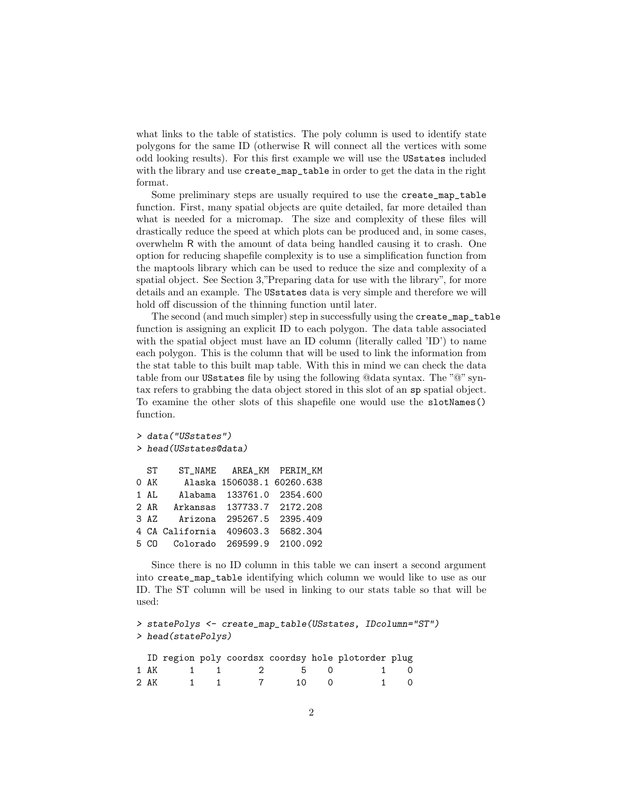what links to the table of statistics. The poly column is used to identify state polygons for the same ID (otherwise R will connect all the vertices with some odd looking results). For this first example we will use the USstates included with the library and use create\_map\_table in order to get the data in the right format.

Some preliminary steps are usually required to use the create\_map\_table function. First, many spatial objects are quite detailed, far more detailed than what is needed for a micromap. The size and complexity of these files will drastically reduce the speed at which plots can be produced and, in some cases, overwhelm R with the amount of data being handled causing it to crash. One option for reducing shapefile complexity is to use a simplification function from the maptools library which can be used to reduce the size and complexity of a spatial object. See Section 3,"Preparing data for use with the library", for more details and an example. The USstates data is very simple and therefore we will hold off discussion of the thinning function until later.

The second (and much simpler) step in successfully using the create\_map\_table function is assigning an explicit ID to each polygon. The data table associated with the spatial object must have an ID column (literally called 'ID') to name each polygon. This is the column that will be used to link the information from the stat table to this built map table. With this in mind we can check the data table from our USstates file by using the following @data syntax. The "@" syntax refers to grabbing the data object stored in this slot of an sp spatial object. To examine the other slots of this shapefile one would use the slotNames() function.

```
> data("USstates")
> head(USstates@data)
 ST ST_NAME AREA_KM PERIM_KM
0 AK Alaska 1506038.1 60260.638
1 AL Alabama 133761.0 2354.600
2 AR Arkansas 137733.7 2172.208
3 AZ Arizona 295267.5 2395.409
4 CA California 409603.3 5682.304
5 CO Colorado 269599.9 2100.092
```
Since there is no ID column in this table we can insert a second argument into create\_map\_table identifying which column we would like to use as our ID. The ST column will be used in linking to our stats table so that will be used:

```
> statePolys <- create_map_table(USstates, IDcolumn="ST")
> head(statePolys)
```

|  |          |  |        | ID region poly coordsx coordsy hole plotorder plug |  |
|--|----------|--|--------|----------------------------------------------------|--|
|  |          |  |        | 1 AK 1 1 2 5 0 1 0                                 |  |
|  | 2 AK 1 1 |  | 7 10 0 |                                                    |  |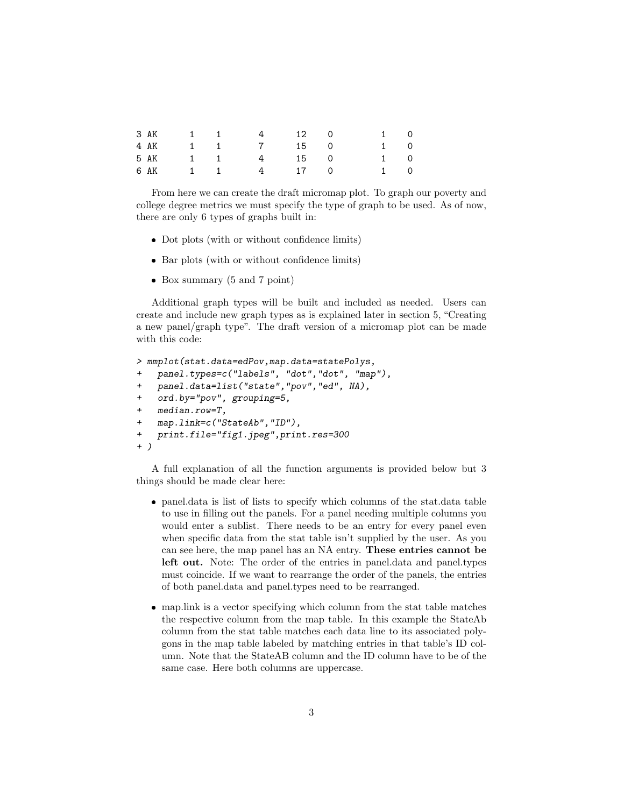|                              | 4                                |                                    |    | $1 \qquad 0$                     |  |
|------------------------------|----------------------------------|------------------------------------|----|----------------------------------|--|
|                              |                                  |                                    |    | $1 \qquad 0$                     |  |
|                              |                                  |                                    |    | $1 \qquad 0$                     |  |
|                              |                                  |                                    |    | 1 0                              |  |
| 3 AK<br>4 AK<br>5 AK<br>6 AK | $1 \quad 1$<br>1 1<br>1 1<br>1 1 | $4\overline{4}$<br>$4\overline{4}$ | 12 | $\cup$<br>7 15 0<br>15 0<br>17 0 |  |

From here we can create the draft micromap plot. To graph our poverty and college degree metrics we must specify the type of graph to be used. As of now, there are only 6 types of graphs built in:

- Dot plots (with or without confidence limits)
- Bar plots (with or without confidence limits)
- ❼ Box summary (5 and 7 point)

Additional graph types will be built and included as needed. Users can create and include new graph types as is explained later in section 5, "Creating a new panel/graph type". The draft version of a micromap plot can be made with this code:

```
> mmplot(stat.data=edPov,map.data=statePolys,
    + panel.types=c("labels", "dot","dot", "map"),
+ panel.data=list("state","pov","ed", NA),
    + ord.by="pov", grouping=5,
    + median.row=T,
    + map.link=c("StateAb","ID"),
    + print.file="fig1.jpeg",print.res=300
+ )
```
A full explanation of all the function arguments is provided below but 3 things should be made clear here:

- ❼ panel.data is list of lists to specify which columns of the stat.data table to use in filling out the panels. For a panel needing multiple columns you would enter a sublist. There needs to be an entry for every panel even when specific data from the stat table isn't supplied by the user. As you can see here, the map panel has an NA entry. These entries cannot be left out. Note: The order of the entries in panel.data and panel.types must coincide. If we want to rearrange the order of the panels, the entries of both panel.data and panel.types need to be rearranged.
- ❼ map.link is a vector specifying which column from the stat table matches the respective column from the map table. In this example the StateAb column from the stat table matches each data line to its associated polygons in the map table labeled by matching entries in that table's ID column. Note that the StateAB column and the ID column have to be of the same case. Here both columns are uppercase.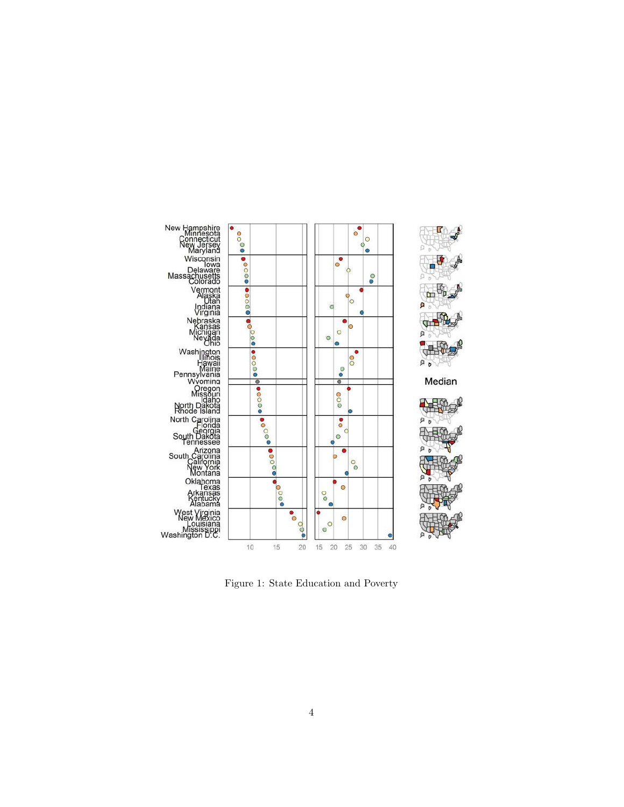

Figure 1: State Education and Poverty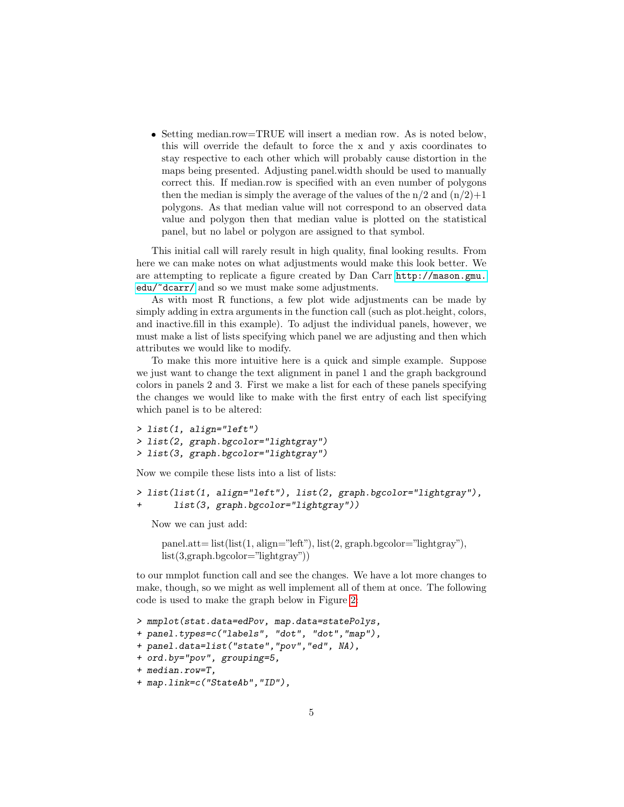❼ Setting median.row=TRUE will insert a median row. As is noted below, this will override the default to force the x and y axis coordinates to stay respective to each other which will probably cause distortion in the maps being presented. Adjusting panel.width should be used to manually correct this. If median.row is specified with an even number of polygons then the median is simply the average of the values of the  $n/2$  and  $(n/2)+1$ polygons. As that median value will not correspond to an observed data value and polygon then that median value is plotted on the statistical panel, but no label or polygon are assigned to that symbol.

This initial call will rarely result in high quality, final looking results. From here we can make notes on what adjustments would make this look better. We are attempting to replicate a figure created by Dan Carr [http://mason.gmu.](http://mason.gmu.edu/~dcarr/) [edu/~dcarr/](http://mason.gmu.edu/~dcarr/) and so we must make some adjustments.

As with most R functions, a few plot wide adjustments can be made by simply adding in extra arguments in the function call (such as plot.height, colors, and inactive.fill in this example). To adjust the individual panels, however, we must make a list of lists specifying which panel we are adjusting and then which attributes we would like to modify.

To make this more intuitive here is a quick and simple example. Suppose we just want to change the text alignment in panel 1 and the graph background colors in panels 2 and 3. First we make a list for each of these panels specifying the changes we would like to make with the first entry of each list specifying which panel is to be altered:

```
> list(1, align="left")
> list(2, graph.bgcolor="lightgray")
> list(3, graph.bgcolor="lightgray")
```
Now we compile these lists into a list of lists:

```
> list(list(1, align="left"), list(2, graph.bgcolor="lightgray"),
       + list(3, graph.bgcolor="lightgray"))
```
Now we can just add:

 $panel.att= list(list(1, align="left", list(2, graph.bgeolor="lightgray"),$ list(3,graph.bgcolor="lightgray"))

to our mmplot function call and see the changes. We have a lot more changes to make, though, so we might as well implement all of them at once. The following code is used to make the graph below in Figure [2:](#page-6-0)

```
> mmplot(stat.data=edPov, map.data=statePolys,
+ panel.types=c("labels", "dot", "dot","map"),
+ panel.data=list("state","pov","ed", NA),
+ ord.by="pov", grouping=5,
+ median.row=T,
+ map.link=c("StateAb","ID"),
```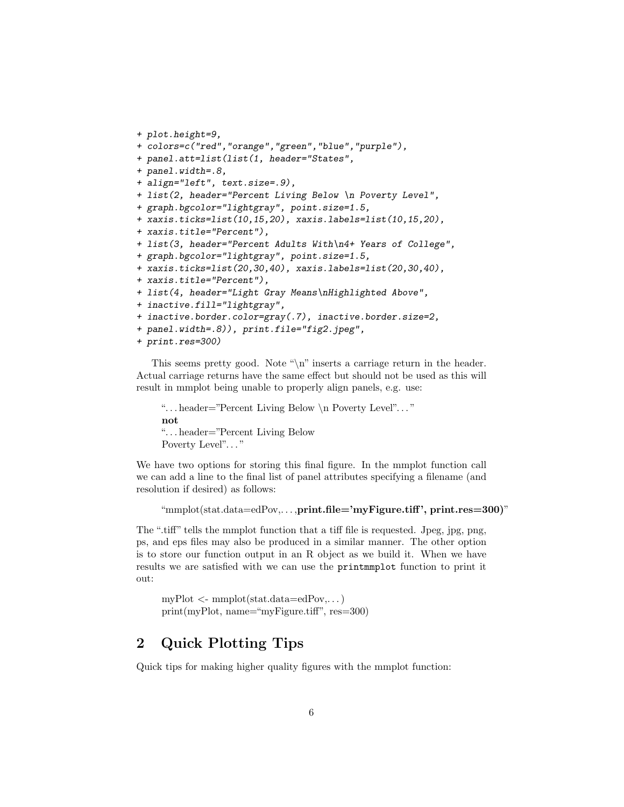```
+ plot.height=9,
+ colors=c("red","orange","green","blue","purple"),
+ panel.att=list(list(1, header="States",
+ panel.width=.8,
+ align="left", text.size=.9),
+ list(2, header="Percent Living Below \n Poverty Level",
+ graph.bgcolor="lightgray", point.size=1.5,
+ xaxis.ticks=list(10,15,20), xaxis.labels=list(10,15,20),
+ xaxis.title="Percent"),
+ list(3, header="Percent Adults With\n4+ Years of College",
+ graph.bgcolor="lightgray", point.size=1.5,
+ xaxis.ticks=list(20,30,40), xaxis.labels=list(20,30,40),
+ xaxis.title="Percent"),
+ list(4, header="Light Gray Means\nHighlighted Above",
+ inactive.fill="lightgray",
+ inactive.border.color=gray(.7), inactive.border.size=2,
+ panel.width=.8)), print.file="fig2.jpeg",
+ print.res=300)
```
This seems pretty good. Note "\n" inserts a carriage return in the header. Actual carriage returns have the same effect but should not be used as this will result in mmplot being unable to properly align panels, e.g. use:

". . . header="Percent Living Below \n Poverty Level". . . " not ". . . header="Percent Living Below Poverty Level"..."

We have two options for storing this final figure. In the mmplot function call we can add a line to the final list of panel attributes specifying a filename (and resolution if desired) as follows:

```
"mmplot(stat.data=edPov,. . . ,print.file='myFigure.tiff ', print.res=300)"
```
The ".tiff" tells the mmplot function that a tiff file is requested. Jpeg, jpg, png, ps, and eps files may also be produced in a similar manner. The other option is to store our function output in an R object as we build it. When we have results we are satisfied with we can use the printmmplot function to print it out:

 $myPlot \leq - \text{mmplot}(\text{stat.data} = \text{edPov}, \dots)$ print(myPlot, name="myFigure.tiff", res=300)

## 2 Quick Plotting Tips

Quick tips for making higher quality figures with the mmplot function: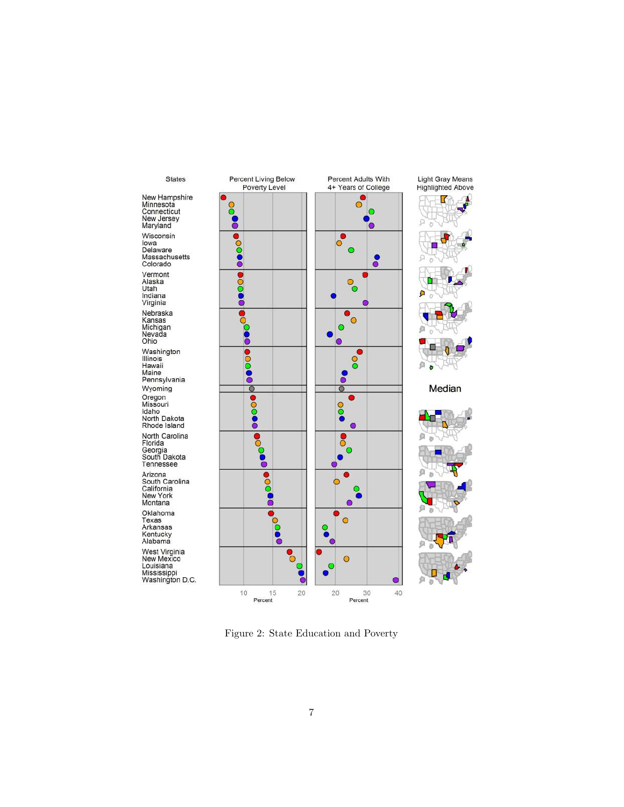

<span id="page-6-0"></span>Figure 2: State Education and Poverty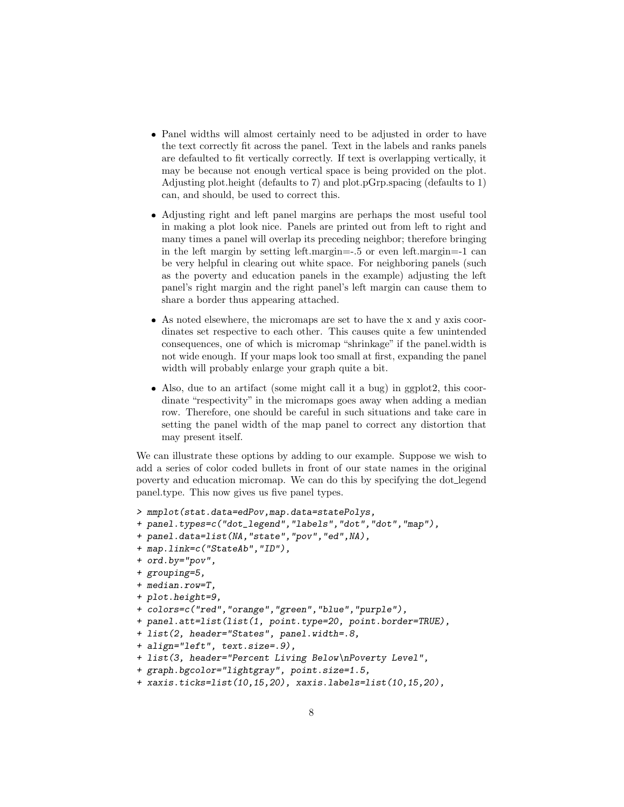- ❼ Panel widths will almost certainly need to be adjusted in order to have the text correctly fit across the panel. Text in the labels and ranks panels are defaulted to fit vertically correctly. If text is overlapping vertically, it may be because not enough vertical space is being provided on the plot. Adjusting plot.height (defaults to 7) and plot.pGrp.spacing (defaults to 1) can, and should, be used to correct this.
- ❼ Adjusting right and left panel margins are perhaps the most useful tool in making a plot look nice. Panels are printed out from left to right and many times a panel will overlap its preceding neighbor; therefore bringing in the left margin by setting left.margin=-.5 or even left.margin=-1 can be very helpful in clearing out white space. For neighboring panels (such as the poverty and education panels in the example) adjusting the left panel's right margin and the right panel's left margin can cause them to share a border thus appearing attached.
- ❼ As noted elsewhere, the micromaps are set to have the x and y axis coordinates set respective to each other. This causes quite a few unintended consequences, one of which is micromap "shrinkage" if the panel.width is not wide enough. If your maps look too small at first, expanding the panel width will probably enlarge your graph quite a bit.
- ❼ Also, due to an artifact (some might call it a bug) in ggplot2, this coordinate "respectivity" in the micromaps goes away when adding a median row. Therefore, one should be careful in such situations and take care in setting the panel width of the map panel to correct any distortion that may present itself.

We can illustrate these options by adding to our example. Suppose we wish to add a series of color coded bullets in front of our state names in the original poverty and education micromap. We can do this by specifying the dot legend panel.type. This now gives us five panel types.

```
> mmplot(stat.data=edPov,map.data=statePolys,
+ panel.types=c("dot_legend","labels","dot","dot","map"),
+ panel.data=list(NA,"state","pov","ed",NA),
+ map.link=c("StateAb","ID"),
+ ord.by="pov",
+ grouping=5,
+ median.row=T,
+ plot.height=9,
+ colors=c("red","orange","green","blue","purple"),
+ panel.att=list(list(1, point.type=20, point.border=TRUE),
+ list(2, header="States", panel.width=.8,
+ align="left", text.size=.9),
+ list(3, header="Percent Living Below\nPoverty Level",
+ graph.bgcolor="lightgray", point.size=1.5,
+ xaxis.ticks=list(10,15,20), xaxis.labels=list(10,15,20),
```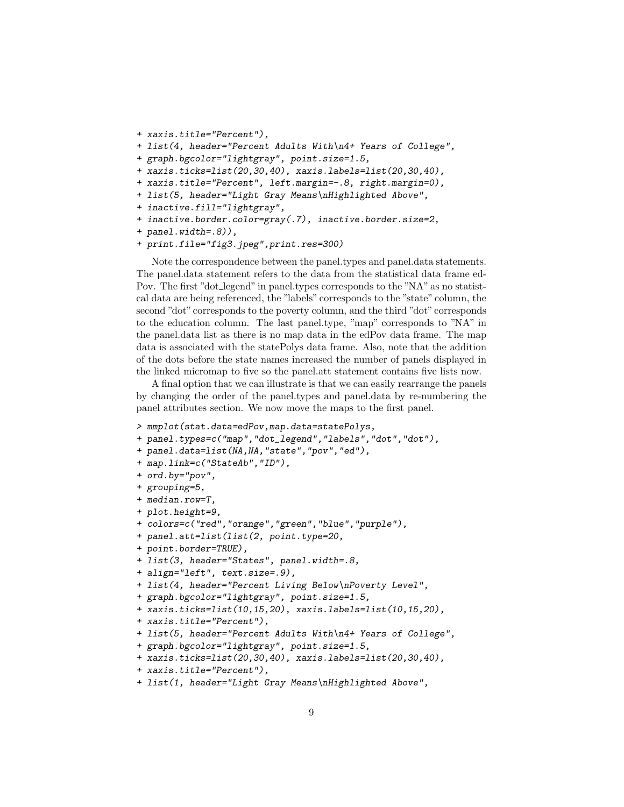```
+ xaxis.title="Percent"),
```
- *+ list(4, header="Percent Adults With\n4+ Years of College",*
- *+ graph.bgcolor="lightgray", point.size=1.5,*
- *+ xaxis.ticks=list(20,30,40), xaxis.labels=list(20,30,40),*
- *+ xaxis.title="Percent", left.margin=-.8, right.margin=0),*
- *+ list(5, header="Light Gray Means\nHighlighted Above",*
- *+ inactive.fill="lightgray",*
- *+ inactive.border.color=gray(.7), inactive.border.size=2,*
- *+ panel.width=.8)),*
- *+ print.file="fig3.jpeg",print.res=300)*

Note the correspondence between the panel.types and panel.data statements. The panel.data statement refers to the data from the statistical data frame ed-Pov. The first "dot legend" in panel.types corresponds to the "NA" as no statistcal data are being referenced, the "labels" corresponds to the "state" column, the second "dot" corresponds to the poverty column, and the third "dot" corresponds to the education column. The last panel.type, "map" corresponds to "NA" in the panel.data list as there is no map data in the edPov data frame. The map data is associated with the statePolys data frame. Also, note that the addition of the dots before the state names increased the number of panels displayed in the linked micromap to five so the panel.att statement contains five lists now.

A final option that we can illustrate is that we can easily rearrange the panels by changing the order of the panel.types and panel.data by re-numbering the panel attributes section. We now move the maps to the first panel.

- *> mmplot(stat.data=edPov,map.data=statePolys,*
- *+ panel.types=c("map","dot\_legend","labels","dot","dot"),*
- *+ panel.data=list(NA,NA,"state","pov","ed"),*
- *+ map.link=c("StateAb","ID"),*
- *+ ord.by="pov",*
- *+ grouping=5,*
- *+ median.row=T,*
- *+ plot.height=9,*
- *+ colors=c("red","orange","green","blue","purple"),*
- *+ panel.att=list(list(2, point.type=20,*
- *+ point.border=TRUE),*
- *+ list(3, header="States", panel.width=.8,*

```
+ align="left", text.size=.9),
```

```
+ list(4, header="Percent Living Below\nPoverty Level",
```

```
+ graph.bgcolor="lightgray", point.size=1.5,
```
- *+ xaxis.ticks=list(10,15,20), xaxis.labels=list(10,15,20),*
- *+ xaxis.title="Percent"),*

```
+ list(5, header="Percent Adults With\n4+ Years of College",
```
*+ graph.bgcolor="lightgray", point.size=1.5,*

```
+ xaxis.ticks=list(20,30,40), xaxis.labels=list(20,30,40),
```

```
+ xaxis.title="Percent"),
```
*+ list(1, header="Light Gray Means\nHighlighted Above",*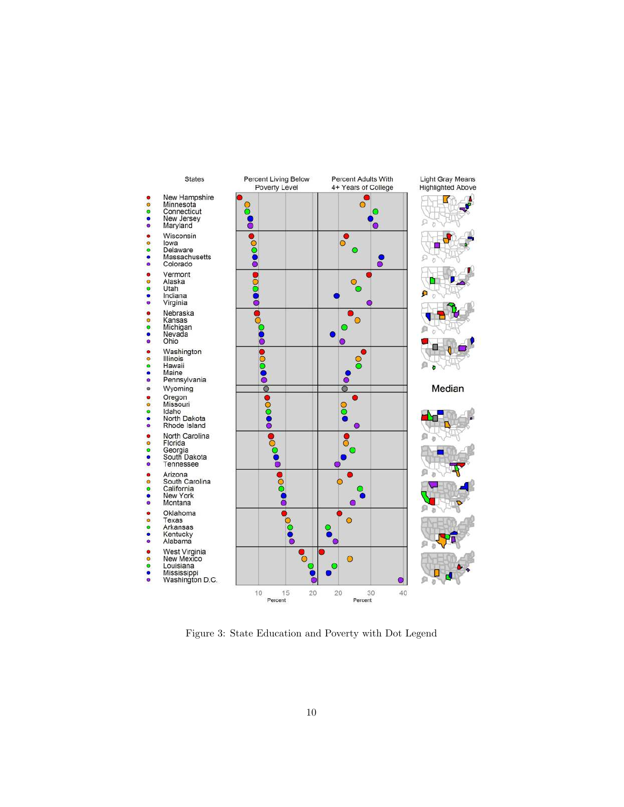

Figure 3: State Education and Poverty with Dot Legend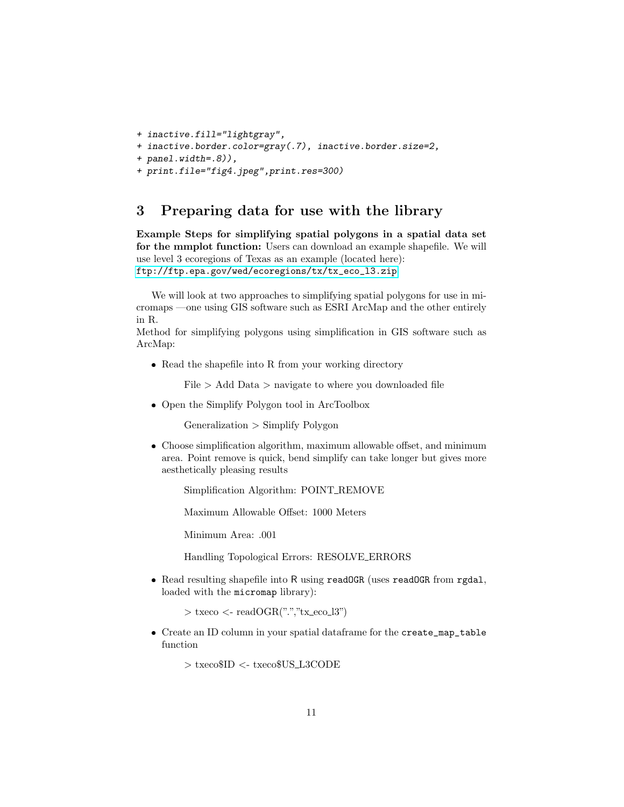```
+ inactive.fill="lightgray",
```

```
+ inactive.border.color=gray(.7), inactive.border.size=2,
```

```
+ panel.width=.8)),
```

```
+ print.file="fig4.jpeg",print.res=300)
```
# 3 Preparing data for use with the library

Example Steps for simplifying spatial polygons in a spatial data set for the mmplot function: Users can download an example shapefile. We will use level 3 ecoregions of Texas as an example (located here): [ftp://ftp.epa.gov/wed/ecoregions/tx/tx\\_eco\\_l3.zip](ftp://ftp.epa.gov/wed/ecoregions/tx/tx_eco_l3.zip)

We will look at two approaches to simplifying spatial polygons for use in micromaps —one using GIS software such as ESRI ArcMap and the other entirely in R.

Method for simplifying polygons using simplification in GIS software such as ArcMap:

❼ Read the shapefile into R from your working directory

 $File > Add Data > navigate to where you downloaded file$ 

● Open the Simplify Polygon tool in ArcToolbox

Generalization > Simplify Polygon

❼ Choose simplification algorithm, maximum allowable offset, and minimum area. Point remove is quick, bend simplify can take longer but gives more aesthetically pleasing results

Simplification Algorithm: POINT REMOVE

Maximum Allowable Offset: 1000 Meters

Minimum Area: .001

Handling Topological Errors: RESOLVE ERRORS

● Read resulting shapefile into R using readOGR (uses readOGR from rgdal, loaded with the micromap library):

```
> txeco <- readOGR("." "tx_ecco_13")
```
● Create an ID column in your spatial dataframe for the create\_map\_table function

> txeco\$ID <- txeco\$US L3CODE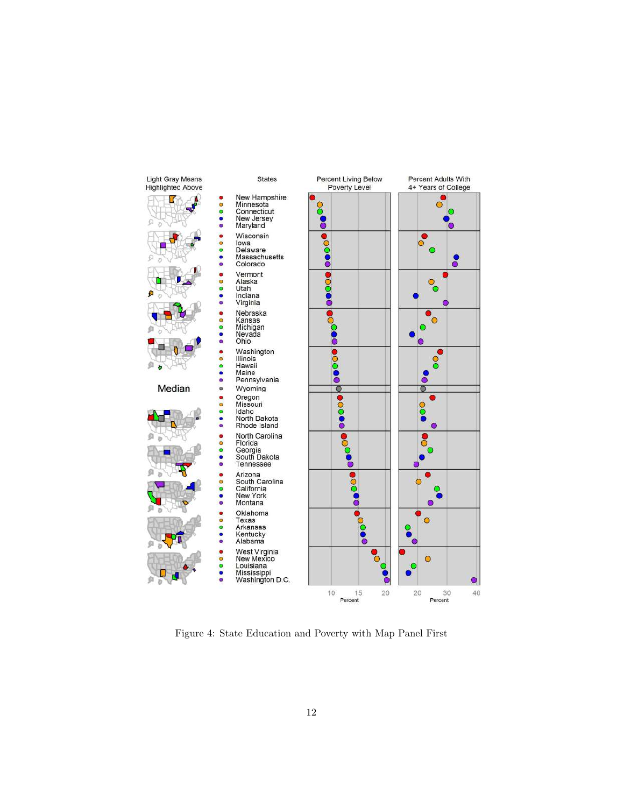

Figure 4: State Education and Poverty with Map Panel First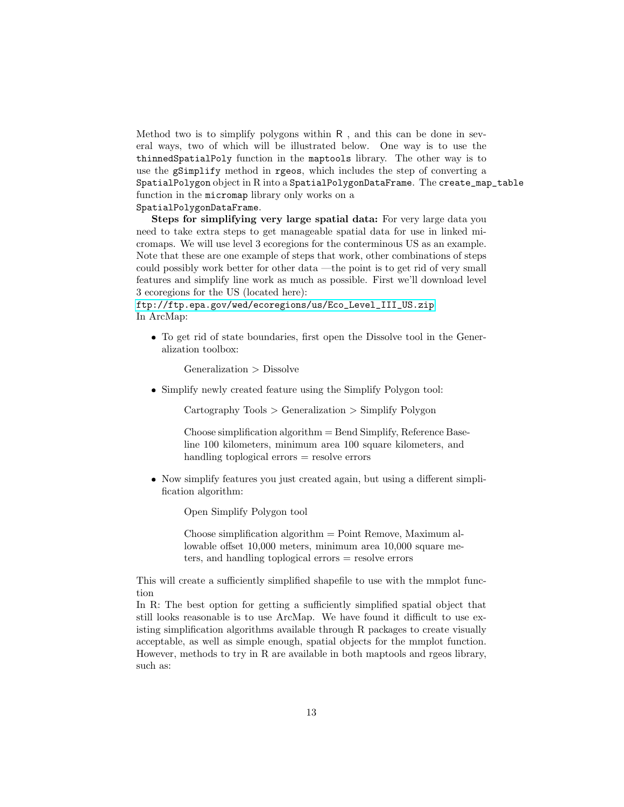Method two is to simplify polygons within  $R$ , and this can be done in several ways, two of which will be illustrated below. One way is to use the thinnedSpatialPoly function in the maptools library. The other way is to use the gSimplify method in rgeos, which includes the step of converting a SpatialPolygon object in R into a SpatialPolygonDataFrame. The create\_map\_table function in the micromap library only works on a

#### SpatialPolygonDataFrame.

Steps for simplifying very large spatial data: For very large data you need to take extra steps to get manageable spatial data for use in linked micromaps. We will use level 3 ecoregions for the conterminous US as an example. Note that these are one example of steps that work, other combinations of steps could possibly work better for other data —the point is to get rid of very small features and simplify line work as much as possible. First we'll download level 3 ecoregions for the US (located here):

[ftp://ftp.epa.gov/wed/ecoregions/us/Eco\\_Level\\_III\\_US.zip](ftp://ftp.epa.gov/wed/ecoregions/us/Eco_Level_III_US.zip) In ArcMap:

❼ To get rid of state boundaries, first open the Dissolve tool in the Generalization toolbox:

Generalization > Dissolve

❼ Simplify newly created feature using the Simplify Polygon tool:

Cartography Tools > Generalization > Simplify Polygon

 $Choose simplification algorithm = Bend Simplify, Reference Base$ line 100 kilometers, minimum area 100 square kilometers, and handling toplogical errors = resolve errors

❼ Now simplify features you just created again, but using a different simplification algorithm:

Open Simplify Polygon tool

Choose simplification algorithm = Point Remove, Maximum allowable offset 10,000 meters, minimum area 10,000 square meters, and handling toplogical errors = resolve errors

This will create a sufficiently simplified shapefile to use with the mmplot function

In R: The best option for getting a sufficiently simplified spatial object that still looks reasonable is to use ArcMap. We have found it difficult to use existing simplification algorithms available through R packages to create visually acceptable, as well as simple enough, spatial objects for the mmplot function. However, methods to try in R are available in both maptools and rgeos library, such as: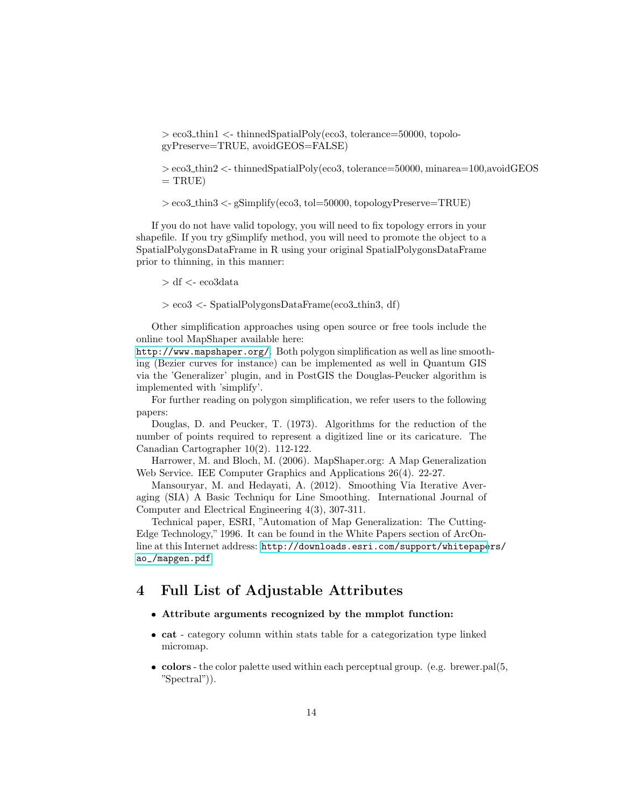> eco3 thin1 <- thinnedSpatialPoly(eco3, tolerance=50000, topologyPreserve=TRUE, avoidGEOS=FALSE)

> eco3 thin2 <- thinnedSpatialPoly(eco3, tolerance=50000, minarea=100,avoidGEOS  $=$  TRUE)

 $>$ eco3\_thin3  $<$ -gSimplify(eco3, tol=50000, topologyPreserve=TRUE)

If you do not have valid topology, you will need to fix topology errors in your shapefile. If you try gSimplify method, you will need to promote the object to a SpatialPolygonsDataFrame in R using your original SpatialPolygonsDataFrame prior to thinning, in this manner:

 $> df <$ - eco3data

> eco3 <- SpatialPolygonsDataFrame(eco3 thin3, df)

Other simplification approaches using open source or free tools include the online tool MapShaper available here:

<http://www.mapshaper.org/>. Both polygon simplification as well as line smoothing (Bezier curves for instance) can be implemented as well in Quantum GIS via the 'Generalizer' plugin, and in PostGIS the Douglas-Peucker algorithm is implemented with 'simplify'.

For further reading on polygon simplification, we refer users to the following papers:

Douglas, D. and Peucker, T. (1973). Algorithms for the reduction of the number of points required to represent a digitized line or its caricature. The Canadian Cartographer 10(2). 112-122.

Harrower, M. and Bloch, M. (2006). MapShaper.org: A Map Generalization Web Service. IEE Computer Graphics and Applications 26(4). 22-27.

Mansouryar, M. and Hedayati, A. (2012). Smoothing Via Iterative Averaging (SIA) A Basic Techniqu for Line Smoothing. International Journal of Computer and Electrical Engineering 4(3), 307-311.

Technical paper, ESRI, "Automation of Map Generalization: The Cutting-Edge Technology," 1996. It can be found in the White Papers section of ArcOnline at this Internet address: [http://downloads.esri.com/support/whitepape](http://downloads.esri.com/support/whitepapers/ao_/mapgen.pdf)rs/ [ao\\_/mapgen.pdf](http://downloads.esri.com/support/whitepapers/ao_/mapgen.pdf)

## 4 Full List of Adjustable Attributes

# ❼ Attribute arguments recognized by the mmplot function:

- cat category column within stats table for a categorization type linked micromap.
- colors the color palette used within each perceptual group. (e.g. brewer.pal(5, "Spectral")).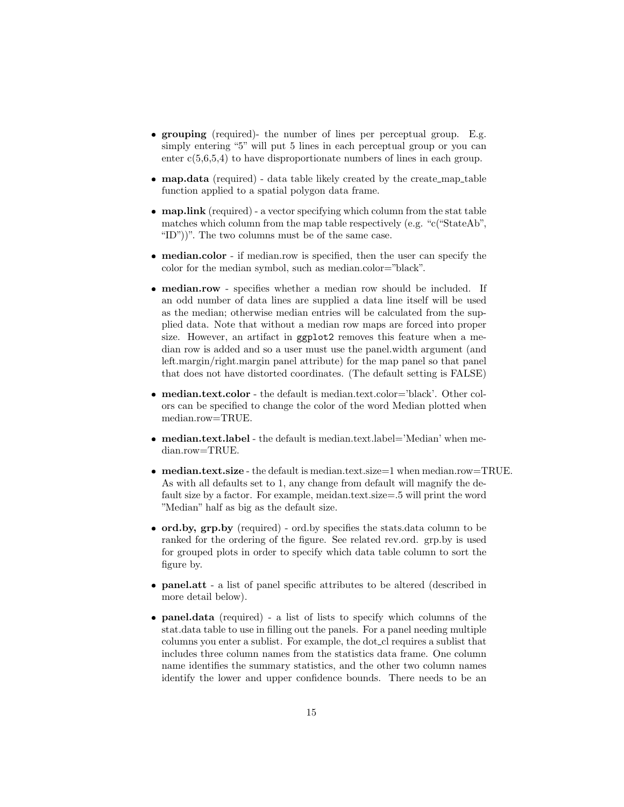- ❼ grouping (required)- the number of lines per perceptual group. E.g. simply entering "5" will put 5 lines in each perceptual group or you can enter  $c(5,6,5,4)$  to have disproportionate numbers of lines in each group.
- map.data (required) data table likely created by the create\_map\_table function applied to a spatial polygon data frame.
- map.link (required) a vector specifying which column from the stat table matches which column from the map table respectively (e.g. "c("StateAb", "ID"))". The two columns must be of the same case.
- median.color if median.row is specified, then the user can specify the color for the median symbol, such as median.color="black".
- ❼ median.row specifies whether a median row should be included. If an odd number of data lines are supplied a data line itself will be used as the median; otherwise median entries will be calculated from the supplied data. Note that without a median row maps are forced into proper size. However, an artifact in ggplot2 removes this feature when a median row is added and so a user must use the panel.width argument (and left.margin/right.margin panel attribute) for the map panel so that panel that does not have distorted coordinates. (The default setting is FALSE)
- median.text.color the default is median.text.color='black'. Other colors can be specified to change the color of the word Median plotted when median.row=TRUE.
- median.text.label the default is median.text.label='Median' when median.row=TRUE.
- median.text.size the default is median.text.size=1 when median.row=TRUE. As with all defaults set to 1, any change from default will magnify the default size by a factor. For example, meidan.text.size=.5 will print the word "Median" half as big as the default size.
- ❼ ord.by, grp.by (required) ord.by specifies the stats.data column to be ranked for the ordering of the figure. See related rev.ord. grp.by is used for grouped plots in order to specify which data table column to sort the figure by.
- panel.att a list of panel specific attributes to be altered (described in more detail below).
- ❼ panel.data (required) a list of lists to specify which columns of the stat.data table to use in filling out the panels. For a panel needing multiple columns you enter a sublist. For example, the dot cl requires a sublist that includes three column names from the statistics data frame. One column name identifies the summary statistics, and the other two column names identify the lower and upper confidence bounds. There needs to be an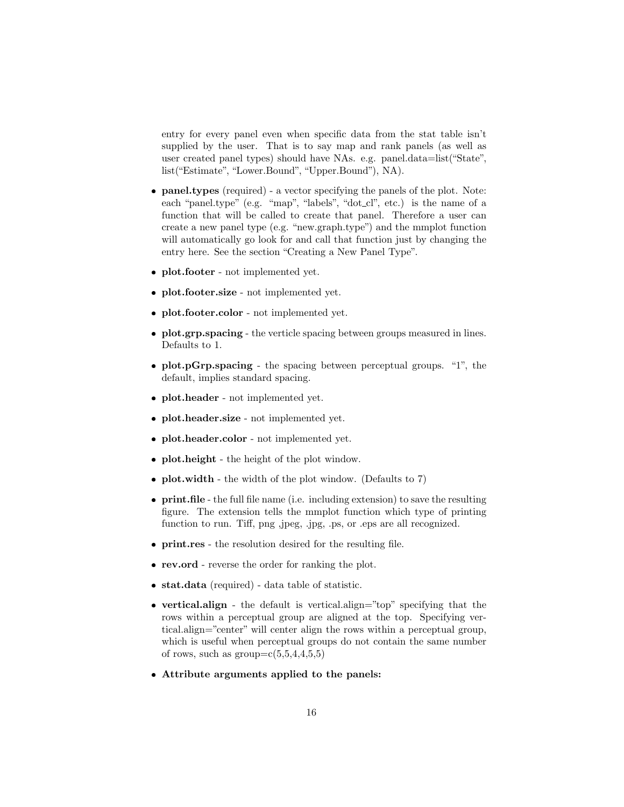entry for every panel even when specific data from the stat table isn't supplied by the user. That is to say map and rank panels (as well as user created panel types) should have NAs. e.g. panel.data=list("State", list("Estimate", "Lower.Bound", "Upper.Bound"), NA).

- panel.types (required) a vector specifying the panels of the plot. Note: each "panel.type" (e.g. "map", "labels", "dot\_cl", etc.) is the name of a function that will be called to create that panel. Therefore a user can create a new panel type (e.g. "new.graph.type") and the mmplot function will automatically go look for and call that function just by changing the entry here. See the section "Creating a New Panel Type".
- plot.footer not implemented yet.
- plot.footer.size not implemented yet.
- plot.footer.color not implemented yet.
- plot.grp.spacing the verticle spacing between groups measured in lines. Defaults to 1.
- plot.pGrp.spacing the spacing between perceptual groups. "1", the default, implies standard spacing.
- plot.header not implemented yet.
- plot.header.size not implemented yet.
- plot.header.color not implemented yet.
- plot.height the height of the plot window.
- plot.width the width of the plot window. (Defaults to 7)
- print.file the full file name (i.e. including extension) to save the resulting figure. The extension tells the mmplot function which type of printing function to run. Tiff, png ,jpeg, .jpg, .ps, or .eps are all recognized.
- ❼ print.res the resolution desired for the resulting file.
- ❼ rev.ord reverse the order for ranking the plot.
- ❼ stat.data (required) data table of statistic.
- vertical.align the default is vertical.align="top" specifying that the rows within a perceptual group are aligned at the top. Specifying vertical.align="center" will center align the rows within a perceptual group, which is useful when perceptual groups do not contain the same number of rows, such as  $group=c(5,5,4,4,5,5)$
- ❼ Attribute arguments applied to the panels: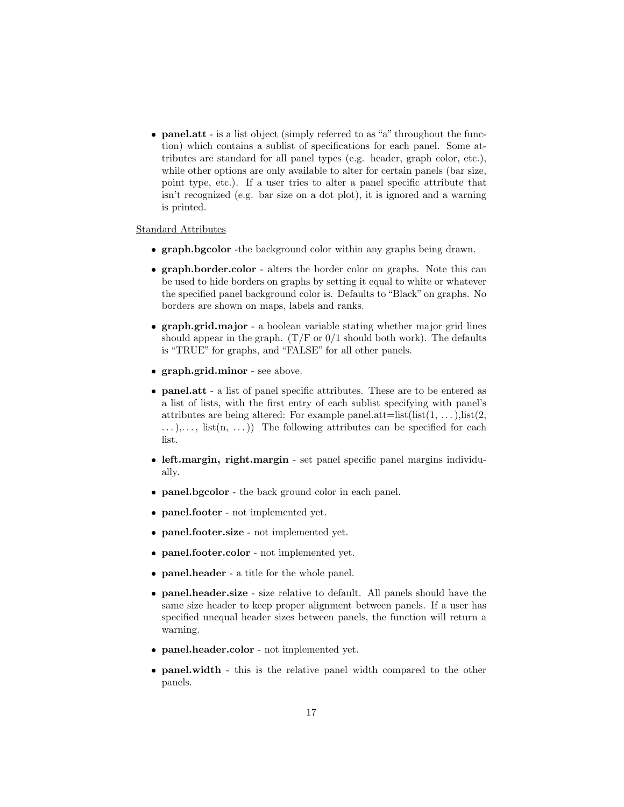• **panel.att** - is a list object (simply referred to as "a" throughout the function) which contains a sublist of specifications for each panel. Some attributes are standard for all panel types (e.g. header, graph color, etc.), while other options are only available to alter for certain panels (bar size, point type, etc.). If a user tries to alter a panel specific attribute that isn't recognized (e.g. bar size on a dot plot), it is ignored and a warning is printed.

#### Standard Attributes

- graph.bgcolor -the background color within any graphs being drawn.
- graph.border.color alters the border color on graphs. Note this can be used to hide borders on graphs by setting it equal to white or whatever the specified panel background color is. Defaults to "Black" on graphs. No borders are shown on maps, labels and ranks.
- graph.grid.major a boolean variable stating whether major grid lines should appear in the graph.  $(T/F or 0/1$  should both work). The defaults is "TRUE" for graphs, and "FALSE" for all other panels.
- ❼ graph.grid.minor see above.
- ❼ panel.att a list of panel specific attributes. These are to be entered as a list of lists, with the first entry of each sublist specifying with panel's attributes are being altered: For example panel.att=list(list(1, ...), list(2,  $\dots$ ,..., list(n, ...)) The following attributes can be specified for each list.
- ❼ left.margin, right.margin set panel specific panel margins individually.
- panel.bgcolor the back ground color in each panel.
- panel.footer not implemented yet.
- panel.footer.size not implemented yet.
- panel.footer.color not implemented yet.
- panel.header a title for the whole panel.
- ❼ panel.header.size size relative to default. All panels should have the same size header to keep proper alignment between panels. If a user has specified unequal header sizes between panels, the function will return a warning.
- panel.header.color not implemented yet.
- panel.width this is the relative panel width compared to the other panels.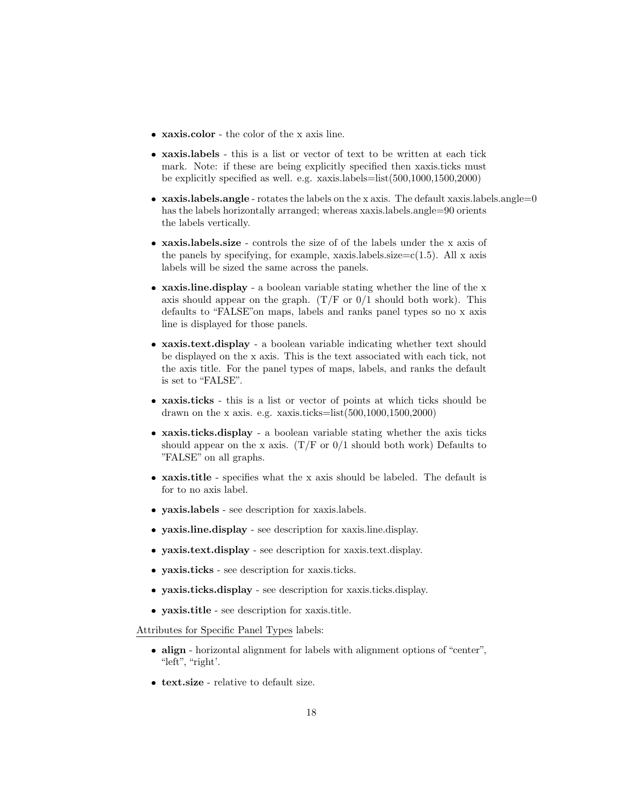- ❼ xaxis.color the color of the x axis line.
- ❼ xaxis.labels this is a list or vector of text to be written at each tick mark. Note: if these are being explicitly specified then xaxis.ticks must be explicitly specified as well. e.g. xaxis.labels=list(500,1000,1500,2000)
- xaxis.labels.angle rotates the labels on the x axis. The default xaxis.labels.angle=0 has the labels horizontally arranged; whereas xaxis.labels.angle=90 orients the labels vertically.
- ❼ xaxis.labels.size controls the size of of the labels under the x axis of the panels by specifying, for example, xaxis. labels.  $size=c(1.5)$ . All x axis labels will be sized the same across the panels.
- xaxis.line.display a boolean variable stating whether the line of the x axis should appear on the graph.  $(T/F or 0/1$  should both work). This defaults to "FALSE"on maps, labels and ranks panel types so no x axis line is displayed for those panels.
- ❼ xaxis.text.display a boolean variable indicating whether text should be displayed on the x axis. This is the text associated with each tick, not the axis title. For the panel types of maps, labels, and ranks the default is set to "FALSE".
- ❼ xaxis.ticks this is a list or vector of points at which ticks should be drawn on the x axis. e.g. xaxis.ticks=list $(500,1000,1500,2000)$
- ❼ xaxis.ticks.display a boolean variable stating whether the axis ticks should appear on the x axis.  $(T/F \text{ or } 0/1 \text{ should both work})$  Defaults to "FALSE" on all graphs.
- ❼ xaxis.title specifies what the x axis should be labeled. The default is for to no axis label.
- ❼ yaxis.labels see description for xaxis.labels.
- ❼ yaxis.line.display see description for xaxis.line.display.
- ❼ yaxis.text.display see description for xaxis.text.display.
- ❼ yaxis.ticks see description for xaxis.ticks.
- ❼ yaxis.ticks.display see description for xaxis.ticks.display.
- ❼ yaxis.title see description for xaxis.title.

Attributes for Specific Panel Types labels:

- align horizontal alignment for labels with alignment options of "center", "left", "right'.
- ❼ text.size relative to default size.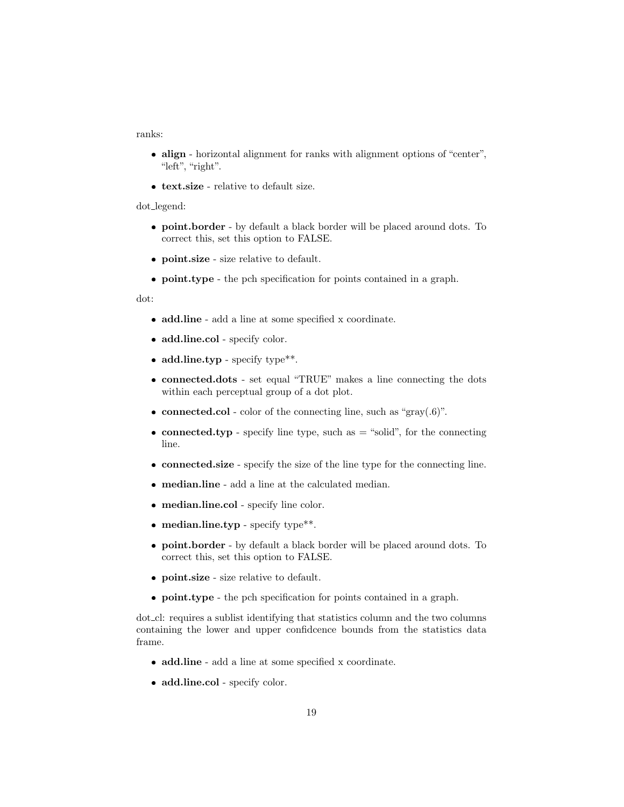ranks:

- align horizontal alignment for ranks with alignment options of "center", "left", "right".
- ❼ text.size relative to default size.

dot legend:

- ❼ point.border by default a black border will be placed around dots. To correct this, set this option to FALSE.
- ❼ point.size size relative to default.
- point.type the pch specification for points contained in a graph.

dot:

- ❼ add.line add a line at some specified x coordinate.
- add.line.col specify color.
- add.line.typ specify type\*\*.
- ❼ connected.dots set equal "TRUE" makes a line connecting the dots within each perceptual group of a dot plot.
- connected.col color of the connecting line, such as "gray $(0.6)$ ".
- connected.typ specify line type, such as  $=$  "solid", for the connecting line.
- ❼ connected.size specify the size of the line type for the connecting line.
- ❼ median.line add a line at the calculated median.
- ❼ median.line.col specify line color.
- $\bullet$  median.line.typ specify type\*\*.
- ❼ point.border by default a black border will be placed around dots. To correct this, set this option to FALSE.
- ❼ point.size size relative to default.
- point.type the pch specification for points contained in a graph.

dot cl: requires a sublist identifying that statistics column and the two columns containing the lower and upper confidcence bounds from the statistics data frame.

- ❼ add.line add a line at some specified x coordinate.
- add.line.col specify color.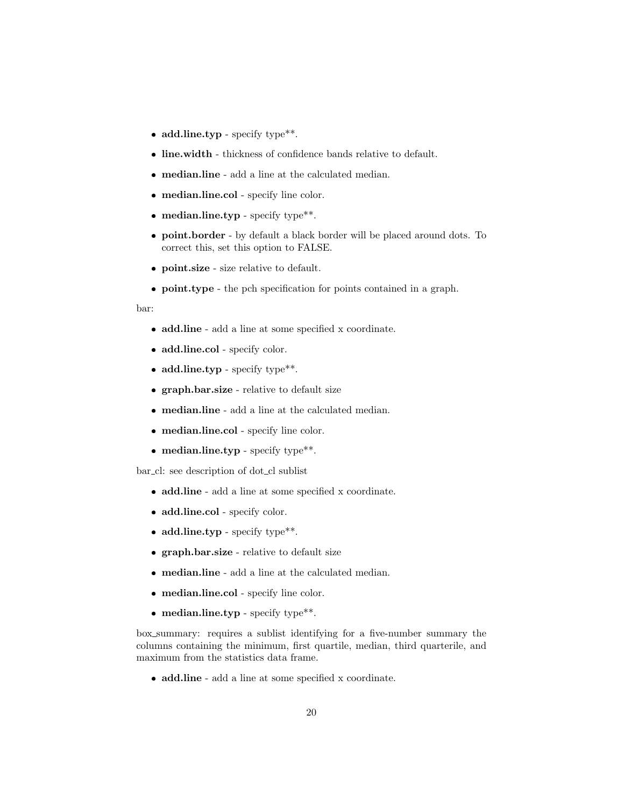- add.line.typ specify type\*\*.
- ❼ line.width thickness of confidence bands relative to default.
- ❼ median.line add a line at the calculated median.
- ❼ median.line.col specify line color.
- median.line.typ specify type\*\*.
- ❼ point.border by default a black border will be placed around dots. To correct this, set this option to FALSE.
- ❼ point.size size relative to default.
- point.type the pch specification for points contained in a graph.

bar:

- ❼ add.line add a line at some specified x coordinate.
- add.line.col specify color.
- add.line.typ specify type\*\*.
- ❼ graph.bar.size relative to default size
- ❼ median.line add a line at the calculated median.
- ❼ median.line.col specify line color.
- median.line.typ specify type\*\*.

bar\_cl: see description of dot\_cl sublist

- ❼ add.line add a line at some specified x coordinate.
- add.line.col specify color.
- add.line.typ specify type\*\*.
- ❼ graph.bar.size relative to default size
- ❼ median.line add a line at the calculated median.
- ❼ median.line.col specify line color.
- median.line.typ specify type\*\*.

box summary: requires a sublist identifying for a five-number summary the columns containing the minimum, first quartile, median, third quarterile, and maximum from the statistics data frame.

❼ add.line - add a line at some specified x coordinate.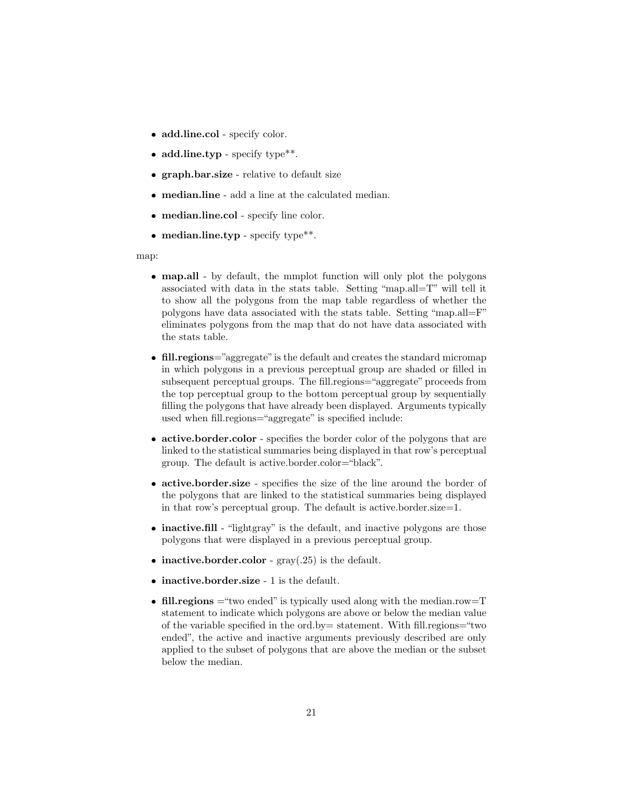- add.line.col specify color.
- add.line.typ specify type\*\*.
- ❼ graph.bar.size relative to default size
- ❼ median.line add a line at the calculated median.
- ❼ median.line.col specify line color.
- median.line.typ specify type\*\*.

map:

- ❼ map.all by default, the mmplot function will only plot the polygons associated with data in the stats table. Setting "map.all=T" will tell it to show all the polygons from the map table regardless of whether the polygons have data associated with the stats table. Setting "map.all=F" eliminates polygons from the map that do not have data associated with the stats table.
- fill.regions="aggregate" is the default and creates the standard micromap in which polygons in a previous perceptual group are shaded or filled in subsequent perceptual groups. The fill.regions="aggregate" proceeds from the top perceptual group to the bottom perceptual group by sequentially filling the polygons that have already been displayed. Arguments typically used when fill.regions="aggregate" is specified include:
- active.border.color specifies the border color of the polygons that are linked to the statistical summaries being displayed in that row's perceptual group. The default is active.border.color="black".
- ❼ active.border.size specifies the size of the line around the border of the polygons that are linked to the statistical summaries being displayed in that row's perceptual group. The default is active.border.size=1.
- inactive.fill "lightgray" is the default, and inactive polygons are those polygons that were displayed in a previous perceptual group.
- $\bullet$  inactive.border.color gray(.25) is the default.
- inactive.border.size 1 is the default.
- fill.regions  $=$  "two ended" is typically used along with the median.row=T statement to indicate which polygons are above or below the median value of the variable specified in the ord.by= statement. With fill.regions="two ended", the active and inactive arguments previously described are only applied to the subset of polygons that are above the median or the subset below the median.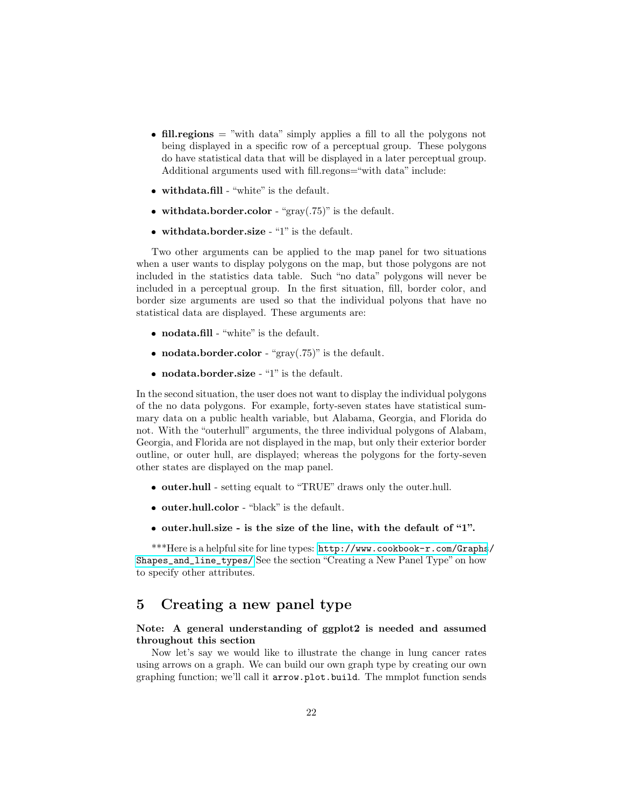- fill.regions  $=$  "with data" simply applies a fill to all the polygons not being displayed in a specific row of a perceptual group. These polygons do have statistical data that will be displayed in a later perceptual group. Additional arguments used with fill.regons="with data" include:
- $\bullet\$  withdata.fill "white" is the default.
- withdata.border.color "gray $(.75)$ " is the default.
- $\bullet$  withdata.border.size "1" is the default.

Two other arguments can be applied to the map panel for two situations when a user wants to display polygons on the map, but those polygons are not included in the statistics data table. Such "no data" polygons will never be included in a perceptual group. In the first situation, fill, border color, and border size arguments are used so that the individual polyons that have no statistical data are displayed. These arguments are:

- ❼ nodata.fill "white" is the default.
- nodata.border.color " $gray(.75)$ " is the default.
- $\bullet$  nodata.border.size "1" is the default.

In the second situation, the user does not want to display the individual polygons of the no data polygons. For example, forty-seven states have statistical summary data on a public health variable, but Alabama, Georgia, and Florida do not. With the "outerhull" arguments, the three individual polygons of Alabam, Georgia, and Florida are not displayed in the map, but only their exterior border outline, or outer hull, are displayed; whereas the polygons for the forty-seven other states are displayed on the map panel.

- ❼ outer.hull setting equalt to "TRUE" draws only the outer.hull.
- outer.hull.color "black" is the default.
- ❼ outer.hull.size is the size of the line, with the default of "1".

\*\*\*Here is a helpful site for line types: [http://www.cookbook-r.com/Graphs](http://www.cookbook-r.com/Graphs/Shapes_and_line_types/)/ [Shapes\\_and\\_line\\_types/](http://www.cookbook-r.com/Graphs/Shapes_and_line_types/) See the section "Creating a New Panel Type" on how to specify other attributes.

## 5 Creating a new panel type

#### Note: A general understanding of ggplot2 is needed and assumed throughout this section

Now let's say we would like to illustrate the change in lung cancer rates using arrows on a graph. We can build our own graph type by creating our own graphing function; we'll call it arrow.plot.build. The mmplot function sends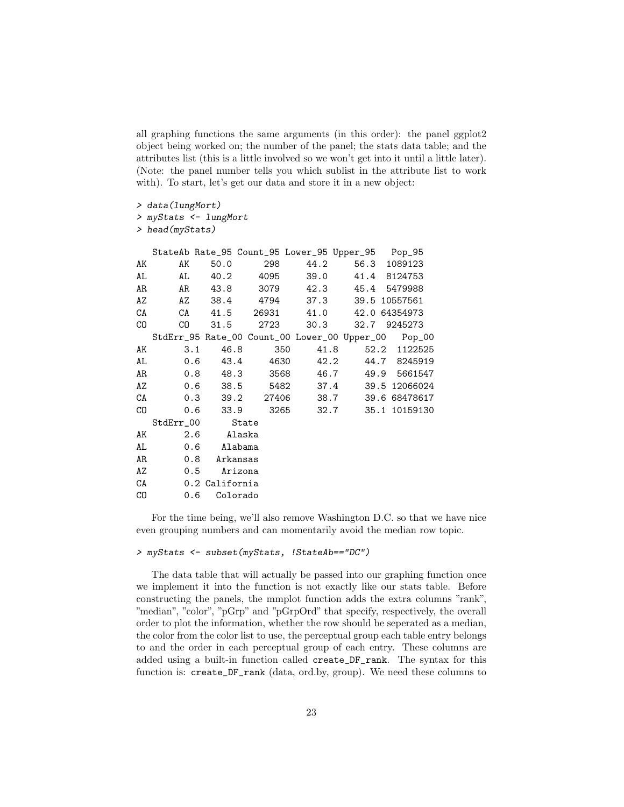all graphing functions the same arguments (in this order): the panel ggplot2 object being worked on; the number of the panel; the stats data table; and the attributes list (this is a little involved so we won't get into it until a little later). (Note: the panel number tells you which sublist in the attribute list to work with). To start, let's get our data and store it in a new object:

```
> data(lungMort)
```

```
> myStats <- lungMort
```
*> head(myStats)*

|     |                 |                |              |                   | StateAb Rate_95 Count_95 Lower_95 Upper_95 Pop_95 |                                                     |
|-----|-----------------|----------------|--------------|-------------------|---------------------------------------------------|-----------------------------------------------------|
| AK  | AK              |                | 50.0 298     |                   | 44.2 56.3 1089123                                 |                                                     |
| AL  |                 |                |              | AL 40.2 4095 39.0 |                                                   | 41.4 8124753                                        |
| AR  |                 |                | AR 43.8 3079 | 42.3              |                                                   | 45.4 5479988                                        |
| AZ  |                 |                |              | AZ 38.4 4794 37.3 |                                                   | 39.5 10557561                                       |
| CA  |                 |                |              |                   | CA 41.5 26931 41.0 42.0 64354973                  |                                                     |
| CO. |                 |                |              |                   | CO 31.5 2723 30.3 32.7 9245273                    |                                                     |
|     |                 |                |              |                   |                                                   | StdErr_95 Rate_00 Count_00 Lower_00 Upper_00 Pop_00 |
| AK  |                 | 3.1<br>46.8    |              | 350               | 41.8                                              | 52.2 1122525                                        |
|     | AL              |                |              |                   |                                                   | 0.6 43.4 4630 42.2 44.7 8245919                     |
|     | AR              |                |              |                   |                                                   | 0.8 48.3 3568 46.7 49.9 5661547                     |
| AZ  |                 |                |              |                   |                                                   | 0.6 38.5 5482 37.4 39.5 12066024                    |
| CA  |                 |                |              |                   |                                                   | 0.3 39.2 27406 38.7 39.6 68478617                   |
| CO  |                 |                |              |                   |                                                   | 0.6 33.9 3265 32.7 35.1 10159130                    |
|     | StdErr_00 State |                |              |                   |                                                   |                                                     |
| AK  |                 | 2.6 Alaska     |              |                   |                                                   |                                                     |
| AL  |                 | 0.6 Alabama    |              |                   |                                                   |                                                     |
| AR  |                 | 0.8 Arkansas   |              |                   |                                                   |                                                     |
|     | AZ<br>0.5       |                | Arizona      |                   |                                                   |                                                     |
| CA  |                 | 0.2 California |              |                   |                                                   |                                                     |
| CO  | 0.6             | Colorado       |              |                   |                                                   |                                                     |

For the time being, we'll also remove Washington D.C. so that we have nice even grouping numbers and can momentarily avoid the median row topic.

#### *> myStats <- subset(myStats, !StateAb=="DC")*

The data table that will actually be passed into our graphing function once we implement it into the function is not exactly like our stats table. Before constructing the panels, the mmplot function adds the extra columns "rank", "median", "color", "pGrp" and "pGrpOrd" that specify, respectively, the overall order to plot the information, whether the row should be seperated as a median, the color from the color list to use, the perceptual group each table entry belongs to and the order in each perceptual group of each entry. These columns are added using a built-in function called create\_DF\_rank. The syntax for this function is: create\_DF\_rank (data, ord.by, group). We need these columns to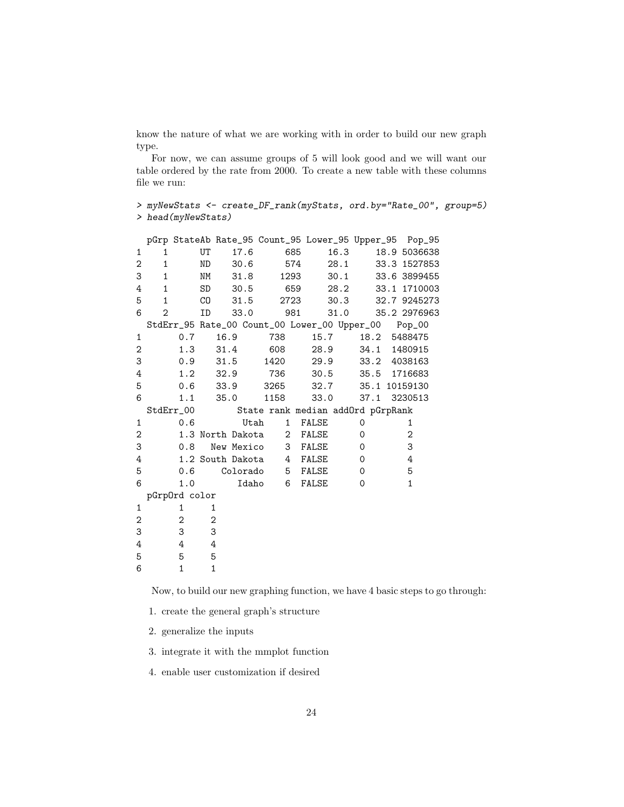know the nature of what we are working with in order to build our new graph type.

For now, we can assume groups of 5 will look good and we will want our table ordered by the rate from 2000. To create a new table with these columns file we run:

*> myNewStats <- create\_DF\_rank(myStats, ord.by="Rate\_00", group=5) > head(myNewStats)*

|   |                |               |                  |            |                                                     |              |                    |      |          |  | pGrp StateAb Rate_95 Count_95 Lower_95 Upper_95 Pop_95 |
|---|----------------|---------------|------------------|------------|-----------------------------------------------------|--------------|--------------------|------|----------|--|--------------------------------------------------------|
| 1 | 1              |               | UT               | 17.6       |                                                     | 685          |                    | 16.3 |          |  | 18.9 5036638                                           |
| 2 | $\mathbf{1}$   |               | ND               | 30.6       |                                                     | 574          |                    | 28.1 |          |  | 33.3 1527853                                           |
| 3 | $\mathbf{1}$   |               | NΜ               | 31.8       |                                                     | 1293         |                    | 30.1 |          |  | 33.6 3899455                                           |
| 4 | 1              |               | SD               | 30.5       |                                                     | 659          |                    | 28.2 |          |  | 33.1 1710003                                           |
| 5 | $\mathbf{1}$   |               | CO               | 31.5       |                                                     | 2723         |                    | 30.3 |          |  | 32.7 9245273                                           |
| 6 | $\overline{2}$ |               | ID               | 33.0       |                                                     | 981          |                    | 31.0 |          |  | 35.2 2976963                                           |
|   |                |               |                  |            | StdErr_95 Rate_00 Count_00 Lower_00 Upper_00 Pop_00 |              |                    |      |          |  |                                                        |
| 1 |                | 0.7           | 16.9             |            | 738                                                 |              | 15.7               |      |          |  | 18.2 5488475                                           |
| 2 |                | 1.3           |                  | 31.4       | 608                                                 |              | 28.9               |      |          |  | 34.1 1480915                                           |
| 3 |                | 0.9           |                  | 31.5       | 1420                                                |              | 29.9               |      |          |  | 33.2 4038163                                           |
| 4 |                | 1.2           | 32.9             |            | 736                                                 |              |                    |      |          |  | 30.5 35.5 1716683                                      |
| 5 |                | 0.6           | 33.9             |            | 3265                                                |              | 32.7 35.1 10159130 |      |          |  |                                                        |
| 6 |                | 1.1           | 35.0             |            | 1158                                                |              | 33.0               |      |          |  | 37.1 3230513                                           |
|   |                | StdErr_00     |                  |            | State rank median addOrd pGrpRank                   |              |                    |      |          |  |                                                        |
| 1 |                | 0.6           |                  | Utah       |                                                     | $\mathbf{1}$ | FALSE              |      | 0        |  | 1                                                      |
| 2 |                |               | 1.3 North Dakota |            |                                                     |              | 2 FALSE            |      | $\Omega$ |  | $\overline{2}$                                         |
| 3 |                | 0.8           |                  | New Mexico |                                                     | 3            | FALSE              |      | $\Omega$ |  | 3                                                      |
| 4 |                |               | 1.2 South Dakota |            |                                                     | 4            | FALSE              |      | 0        |  | 4                                                      |
| 5 |                | 0.6           |                  | Colorado   |                                                     | $5^{\circ}$  | FALSE              |      | $\Omega$ |  | 5                                                      |
| 6 |                | 1.0           |                  |            | Idaho<br>6                                          |              | FALSE              |      | $\Omega$ |  | $\mathbf{1}$                                           |
|   |                | pGrpOrd color |                  |            |                                                     |              |                    |      |          |  |                                                        |
| 1 |                | 1             | 1                |            |                                                     |              |                    |      |          |  |                                                        |
| 2 |                | 2             | 2                |            |                                                     |              |                    |      |          |  |                                                        |
| 3 |                | 3             | 3                |            |                                                     |              |                    |      |          |  |                                                        |
| 4 |                | 4             | 4                |            |                                                     |              |                    |      |          |  |                                                        |
|   |                |               |                  |            |                                                     |              |                    |      |          |  |                                                        |
| 5 |                | 5             | 5                |            |                                                     |              |                    |      |          |  |                                                        |

Now, to build our new graphing function, we have 4 basic steps to go through:

1. create the general graph's structure

2. generalize the inputs

3. integrate it with the mmplot function

4. enable user customization if desired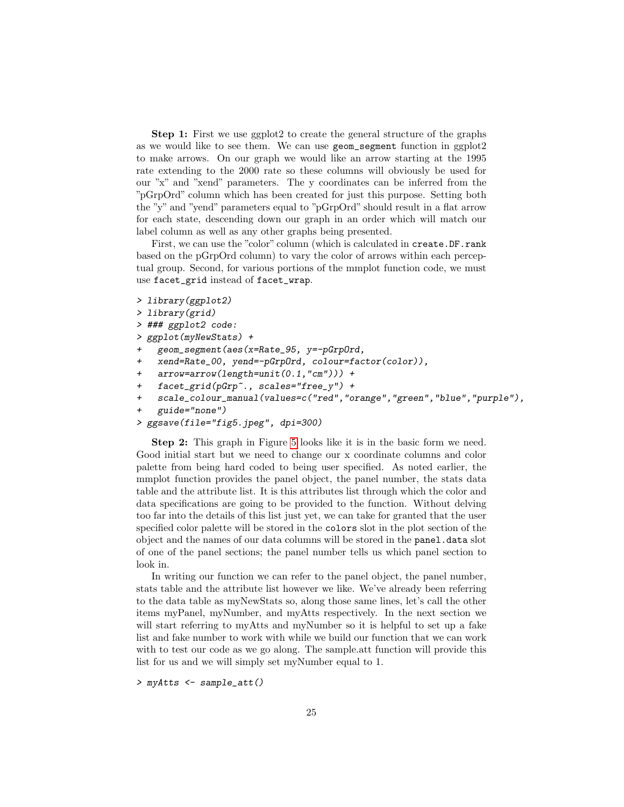Step 1: First we use ggplot2 to create the general structure of the graphs as we would like to see them. We can use geom\_segment function in ggplot2 to make arrows. On our graph we would like an arrow starting at the 1995 rate extending to the 2000 rate so these columns will obviously be used for our "x" and "xend" parameters. The y coordinates can be inferred from the "pGrpOrd" column which has been created for just this purpose. Setting both the "y" and "yend" parameters equal to "pGrpOrd" should result in a flat arrow for each state, descending down our graph in an order which will match our label column as well as any other graphs being presented.

First, we can use the "color" column (which is calculated in create.DF.rank based on the pGrpOrd column) to vary the color of arrows within each perceptual group. Second, for various portions of the mmplot function code, we must use facet\_grid instead of facet\_wrap.

```
> library(ggplot2)
```

```
> library(grid)
```

```
> ### ggplot2 code:
```
*> ggplot(myNewStats) +*

- *+ geom\_segment(aes(x=Rate\_95, y=-pGrpOrd,*
- *+ xend=Rate\_00, yend=-pGrpOrd, colour=factor(color)),*
- *+ arrow=arrow(length=unit(0.1,"cm"))) +*
- *+ facet\_grid(pGrp~., scales="free\_y") +*
- *+ scale\_colour\_manual(values=c("red","orange","green","blue","purple"),*

```
+ guide="none")
```

```
> ggsave(file="fig5.jpeg", dpi=300)
```
Step 2: This graph in Figure [5](#page-25-0) looks like it is in the basic form we need. Good initial start but we need to change our x coordinate columns and color palette from being hard coded to being user specified. As noted earlier, the mmplot function provides the panel object, the panel number, the stats data table and the attribute list. It is this attributes list through which the color and data specifications are going to be provided to the function. Without delving too far into the details of this list just yet, we can take for granted that the user specified color palette will be stored in the colors slot in the plot section of the object and the names of our data columns will be stored in the panel.data slot of one of the panel sections; the panel number tells us which panel section to look in.

In writing our function we can refer to the panel object, the panel number, stats table and the attribute list however we like. We've already been referring to the data table as myNewStats so, along those same lines, let's call the other items myPanel, myNumber, and myAtts respectively. In the next section we will start referring to myAtts and myNumber so it is helpful to set up a fake list and fake number to work with while we build our function that we can work with to test our code as we go along. The sample. att function will provide this list for us and we will simply set myNumber equal to 1.

*> myAtts <- sample\_att()*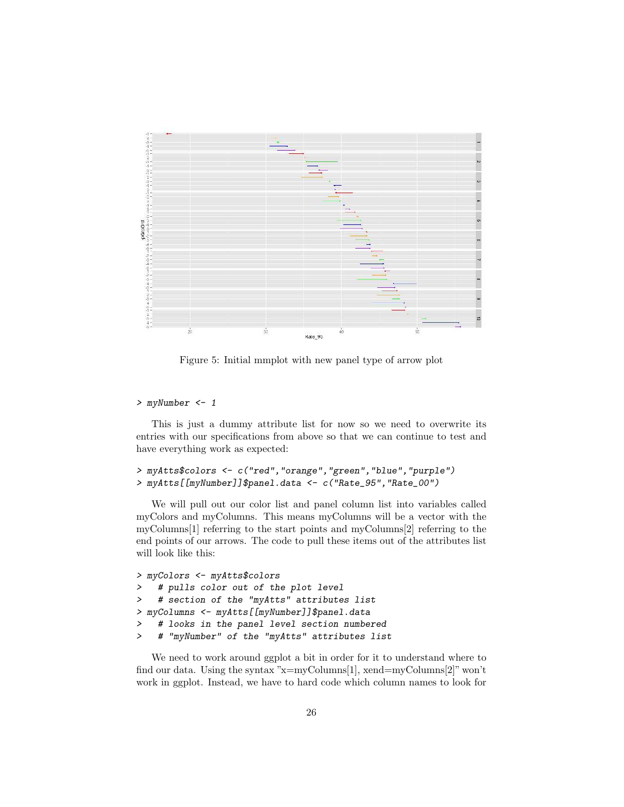

<span id="page-25-0"></span>Figure 5: Initial mmplot with new panel type of arrow plot

#### *> myNumber <- 1*

This is just a dummy attribute list for now so we need to overwrite its entries with our specifications from above so that we can continue to test and have everything work as expected:

```
> myAtts$colors <- c("red","orange","green","blue","purple")
> myAtts[[myNumber]]$panel.data <- c("Rate_95","Rate_00")
```
We will pull out our color list and panel column list into variables called myColors and myColumns. This means myColumns will be a vector with the myColumns[1] referring to the start points and myColumns[2] referring to the end points of our arrows. The code to pull these items out of the attributes list will look like this:

```
> myColors <- myAtts$colors
> # pulls color out of the plot level
> # section of the "myAtts" attributes list
> myColumns <- myAtts[[myNumber]]$panel.data
> # looks in the panel level section numbered
> # "myNumber" of the "myAtts" attributes list
```
We need to work around ggplot a bit in order for it to understand where to find our data. Using the syntax "x=myColumns[1], xend=myColumns[2]" won't work in ggplot. Instead, we have to hard code which column names to look for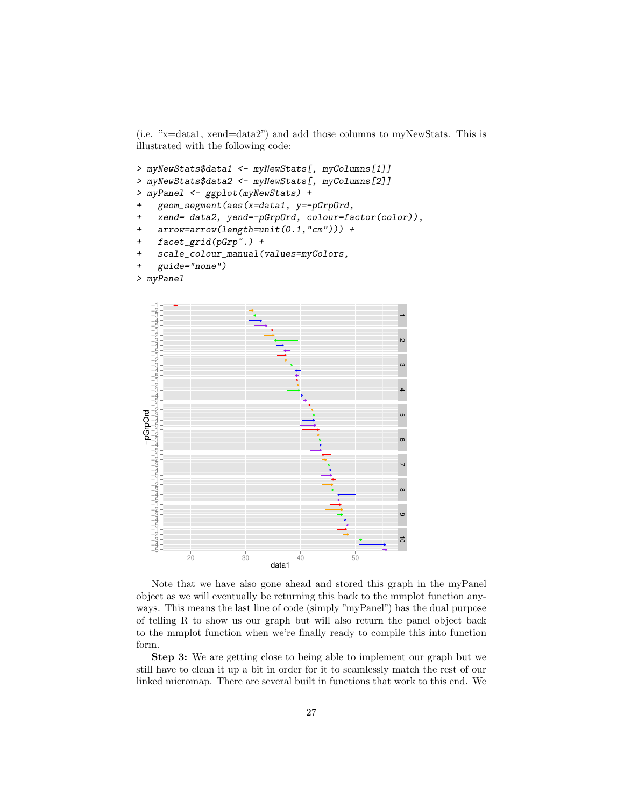(i.e. "x=data1, xend=data2") and add those columns to myNewStats. This is illustrated with the following code:

```
> myNewStats$data1 <- myNewStats[, myColumns[1]]
> myNewStats$data2 <- myNewStats[, myColumns[2]]
> myPanel <- ggplot(myNewStats) +
+ geom_segment(aes(x=data1, y=-pGrpOrd,
   + xend= data2, yend=-pGrpOrd, colour=factor(color)),
    + arrow=arrow(length=unit(0.1,"cm"))) +
    + facet_grid(pGrp~.) +
   + scale_colour_manual(values=myColors,
```

```
+ guide="none")
```




Note that we have also gone ahead and stored this graph in the myPanel object as we will eventually be returning this back to the mmplot function anyways. This means the last line of code (simply "myPanel") has the dual purpose of telling R to show us our graph but will also return the panel object back to the mmplot function when we're finally ready to compile this into function form.

Step 3: We are getting close to being able to implement our graph but we still have to clean it up a bit in order for it to seamlessly match the rest of our linked micromap. There are several built in functions that work to this end. We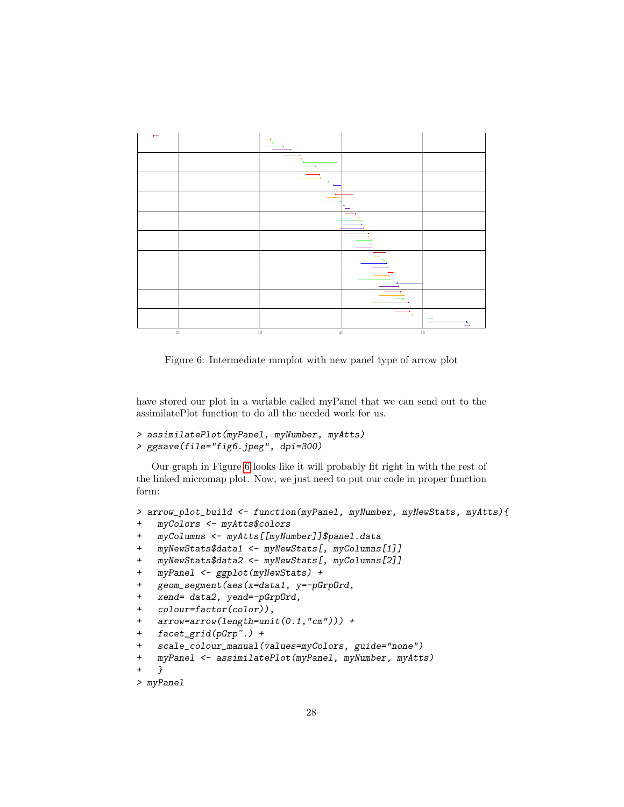

<span id="page-27-0"></span>Figure 6: Intermediate mmplot with new panel type of arrow plot

have stored our plot in a variable called myPanel that we can send out to the assimilatePlot function to do all the needed work for us.

```
> assimilatePlot(myPanel, myNumber, myAtts)
> ggsave(file="fig6.jpeg", dpi=300)
```
Our graph in Figure [6](#page-27-0) looks like it will probably fit right in with the rest of the linked micromap plot. Now, we just need to put our code in proper function form:

```
> arrow_plot_build <- function(myPanel, myNumber, myNewStats, myAtts){
+ myColors <- myAtts$colors
+ myColumns <- myAtts[[myNumber]]$panel.data
    + myNewStats$data1 <- myNewStats[, myColumns[1]]
    + myNewStats$data2 <- myNewStats[, myColumns[2]]
    + myPanel <- ggplot(myNewStats) +
    + geom_segment(aes(x=data1, y=-pGrpOrd,
    + xend= data2, yend=-pGrpOrd,
   + colour=factor(color)),
   + arrow=arrow(length=unit(0.1,"cm"))) +
   + facet_grid(pGrp~.) +
    + scale_colour_manual(values=myColors, guide="none")
+ myPanel <- assimilatePlot(myPanel, myNumber, myAtts)
    + }
> myPanel
```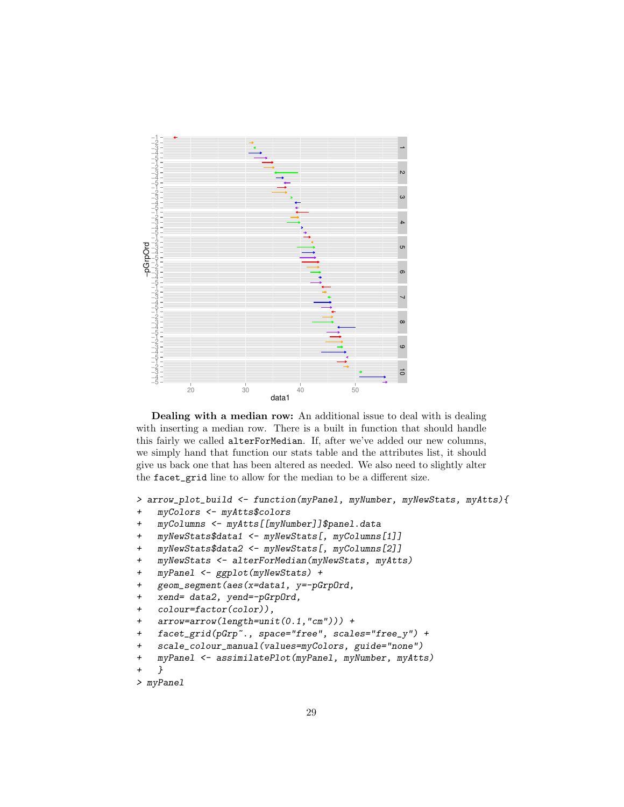

Dealing with a median row: An additional issue to deal with is dealing with inserting a median row. There is a built in function that should handle this fairly we called alterForMedian. If, after we've added our new columns, we simply hand that function our stats table and the attributes list, it should give us back one that has been altered as needed. We also need to slightly alter the facet\_grid line to allow for the median to be a different size.

```
> arrow_plot_build <- function(myPanel, myNumber, myNewStats, myAtts){
```
- *+ myColors <- myAtts\$colors*
- *+ myColumns <- myAtts[[myNumber]]\$panel.data*
- *+ myNewStats\$data1 <- myNewStats[, myColumns[1]]*
- *+ myNewStats\$data2 <- myNewStats[, myColumns[2]]*
- *+ myNewStats <- alterForMedian(myNewStats, myAtts)*
- *+ myPanel <- ggplot(myNewStats) +*
- *+ geom\_segment(aes(x=data1, y=-pGrpOrd,*
- *+ xend= data2, yend=-pGrpOrd,*
- *+ colour=factor(color)),*
- *+ arrow=arrow(length=unit(0.1,"cm"))) +*
- *+ facet\_grid(pGrp~., space="free", scales="free\_y") +*
- *+ scale\_colour\_manual(values=myColors, guide="none")*

```
+ myPanel <- assimilatePlot(myPanel, myNumber, myAtts)
```

```
+ }
```

```
> myPanel
```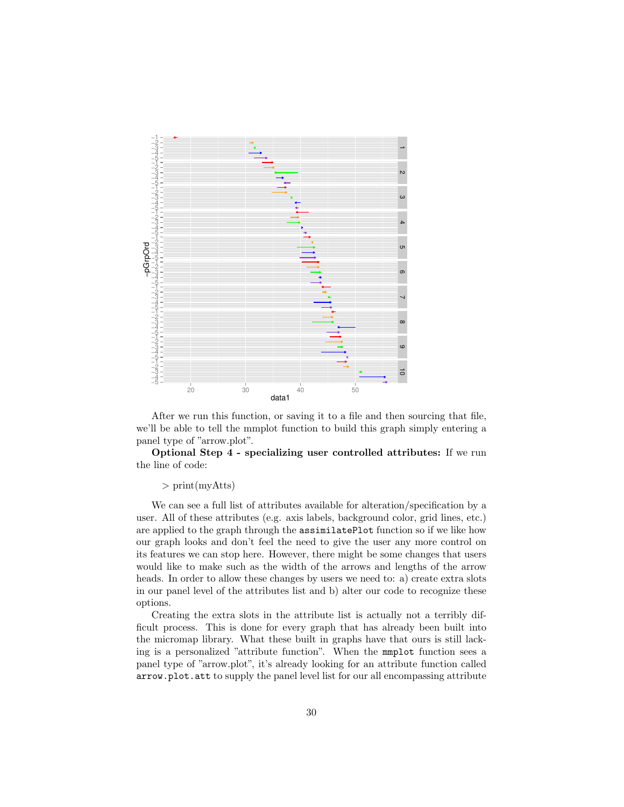

After we run this function, or saving it to a file and then sourcing that file, we'll be able to tell the mmplot function to build this graph simply entering a panel type of "arrow.plot".

Optional Step 4 - specializing user controlled attributes: If we run the line of code:

#### > print(myAtts)

We can see a full list of attributes available for alteration/specification by a user. All of these attributes (e.g. axis labels, background color, grid lines, etc.) are applied to the graph through the assimilatePlot function so if we like how our graph looks and don't feel the need to give the user any more control on its features we can stop here. However, there might be some changes that users would like to make such as the width of the arrows and lengths of the arrow heads. In order to allow these changes by users we need to: a) create extra slots in our panel level of the attributes list and b) alter our code to recognize these options.

Creating the extra slots in the attribute list is actually not a terribly difficult process. This is done for every graph that has already been built into the micromap library. What these built in graphs have that ours is still lacking is a personalized "attribute function". When the mmplot function sees a panel type of "arrow.plot", it's already looking for an attribute function called arrow.plot.att to supply the panel level list for our all encompassing attribute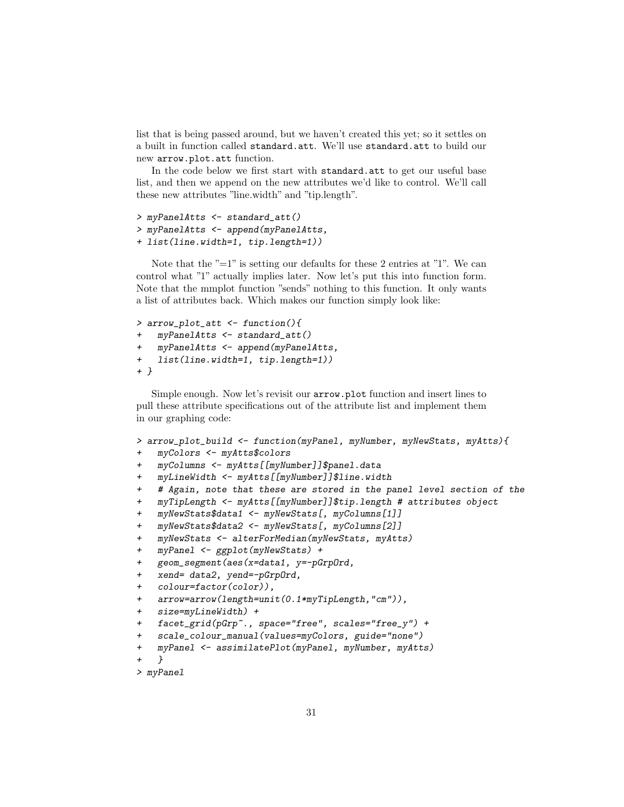list that is being passed around, but we haven't created this yet; so it settles on a built in function called standard.att. We'll use standard.att to build our new arrow.plot.att function.

In the code below we first start with standard.att to get our useful base list, and then we append on the new attributes we'd like to control. We'll call these new attributes "line.width" and "tip.length".

```
> myPanelAtts <- standard_att()
> myPanelAtts <- append(myPanelAtts,
+ list(line.width=1, tip.length=1))
```
Note that the  $"=1"$  is setting our defaults for these 2 entries at  $"1"$ . We can control what "1" actually implies later. Now let's put this into function form. Note that the mmplot function "sends" nothing to this function. It only wants a list of attributes back. Which makes our function simply look like:

```
> arrow_plot_att <- function(){
    + myPanelAtts <- standard_att()
    + myPanelAtts <- append(myPanelAtts,
    + list(line.width=1, tip.length=1))
+ }
```
Simple enough. Now let's revisit our arrow.plot function and insert lines to pull these attribute specifications out of the attribute list and implement them in our graphing code:

```
> arrow_plot_build <- function(myPanel, myNumber, myNewStats, myAtts){
    + myColors <- myAtts$colors
    + myColumns <- myAtts[[myNumber]]$panel.data
   + myLineWidth <- myAtts[[myNumber]]$line.width
    + # Again, note that these are stored in the panel level section of the
   + myTipLength <- myAtts[[myNumber]]$tip.length # attributes object
   + myNewStats$data1 <- myNewStats[, myColumns[1]]
   + myNewStats$data2 <- myNewStats[, myColumns[2]]
   + myNewStats <- alterForMedian(myNewStats, myAtts)
   + myPanel <- ggplot(myNewStats) +
   + geom_segment(aes(x=data1, y=-pGrpOrd,
   + xend= data2, yend=-pGrpOrd,
   + colour=factor(color)),
   + arrow=arrow(length=unit(0.1*myTipLength,"cm")),
   + size=myLineWidth) +
   + facet_grid(pGrp~., space="free", scales="free_y") +
+ scale_colour_manual(values=myColors, guide="none")
+ myPanel <- assimilatePlot(myPanel, myNumber, myAtts)
    + }
> myPanel
```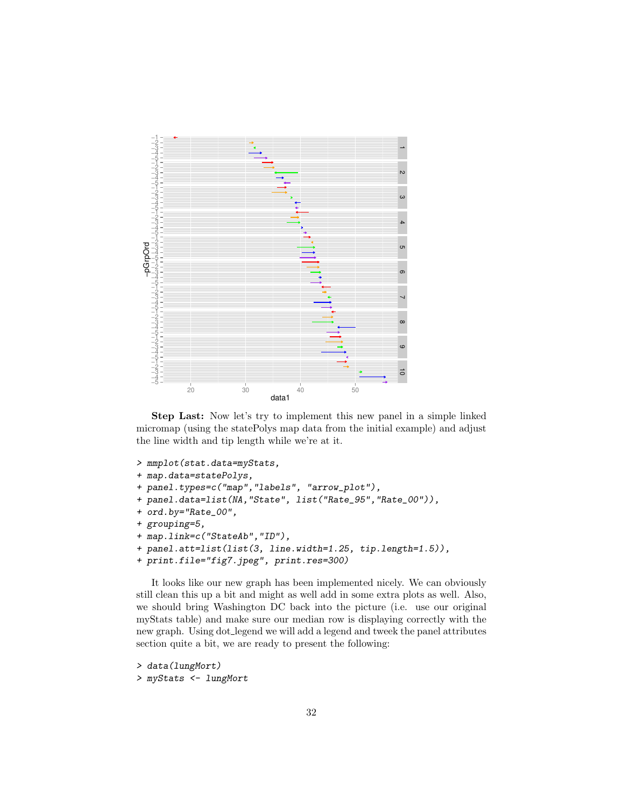

Step Last: Now let's try to implement this new panel in a simple linked micromap (using the statePolys map data from the initial example) and adjust the line width and tip length while we're at it.

```
> mmplot(stat.data=myStats,
+ map.data=statePolys,
+ panel.types=c("map","labels", "arrow_plot"),
+ panel.data=list(NA,"State", list("Rate_95","Rate_00")),
+ ord.by="Rate_00",
+ grouping=5,
+ map.link=c("StateAb","ID"),
+ panel.att=list(list(3, line.width=1.25, tip.length=1.5)),
+ print.file="fig7.jpeg", print.res=300)
```
It looks like our new graph has been implemented nicely. We can obviously still clean this up a bit and might as well add in some extra plots as well. Also, we should bring Washington DC back into the picture (i.e. use our original myStats table) and make sure our median row is displaying correctly with the new graph. Using dot legend we will add a legend and tweek the panel attributes section quite a bit, we are ready to present the following:

```
> data(lungMort)
> myStats <- lungMort
```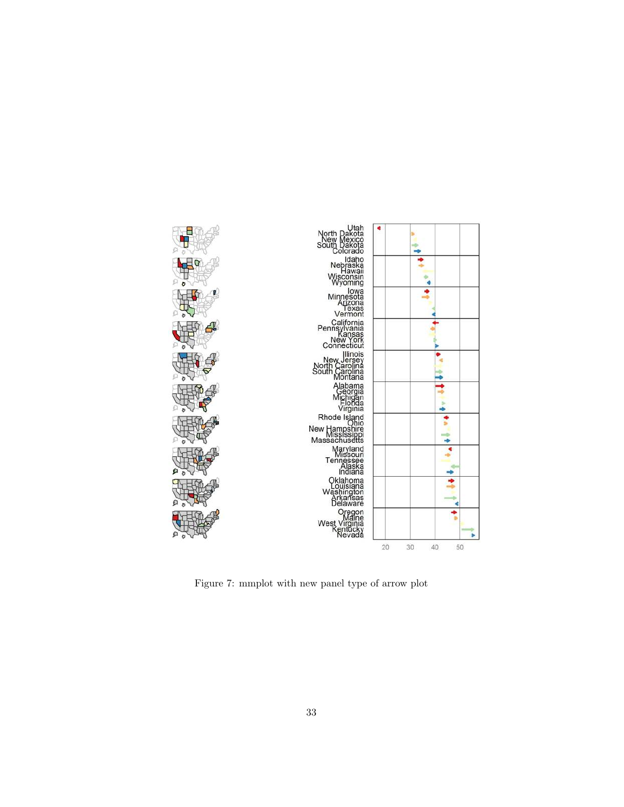

Figure 7: mmplot with new panel type of arrow plot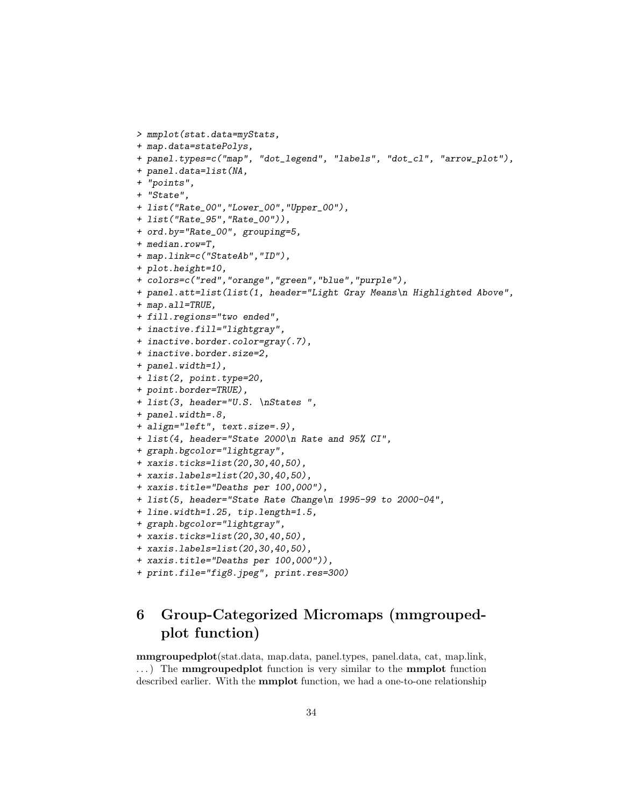```
> mmplot(stat.data=myStats,
+ map.data=statePolys,
+ panel.types=c("map", "dot_legend", "labels", "dot_cl", "arrow_plot"),
+ panel.data=list(NA,
+ "points",
+ "State",
+ list("Rate_00","Lower_00","Upper_00"),
+ list("Rate_95","Rate_00")),
+ ord.by="Rate_00", grouping=5,
+ median.row=T,
+ map.link=c("StateAb","ID"),
+ plot.height=10,
+ colors=c("red","orange","green","blue","purple"),
+ panel.att=list(list(1, header="Light Gray Means\n Highlighted Above",
+ map.all=TRUE,
+ fill.regions="two ended",
+ inactive.fill="lightgray",
+ inactive.border.color=gray(.7),
+ inactive.border.size=2,
+ panel.width=1),
+ list(2, point.type=20,
+ point.border=TRUE),
+ list(3, header="U.S. \nStates ",
+ panel.width=.8,
+ align="left", text.size=.9),
+ list(4, header="State 2000\n Rate and 95% CI",
+ graph.bgcolor="lightgray",
+ xaxis.ticks=list(20,30,40,50),
+ xaxis.labels=list(20,30,40,50),
+ xaxis.title="Deaths per 100,000"),
+ list(5, header="State Rate Change\n 1995-99 to 2000-04",
+ line.width=1.25, tip.length=1.5,
+ graph.bgcolor="lightgray",
+ xaxis.ticks=list(20,30,40,50),
+ xaxis.labels=list(20,30,40,50),
+ xaxis.title="Deaths per 100,000")),
+ print.file="fig8.jpeg", print.res=300)
```
# 6 Group-Categorized Micromaps (mmgroupedplot function)

mmgroupedplot(stat.data, map.data, panel.types, panel.data, cat, map.link, ...) The **mmgroupedplot** function is very similar to the **mmplot** function described earlier. With the mmplot function, we had a one-to-one relationship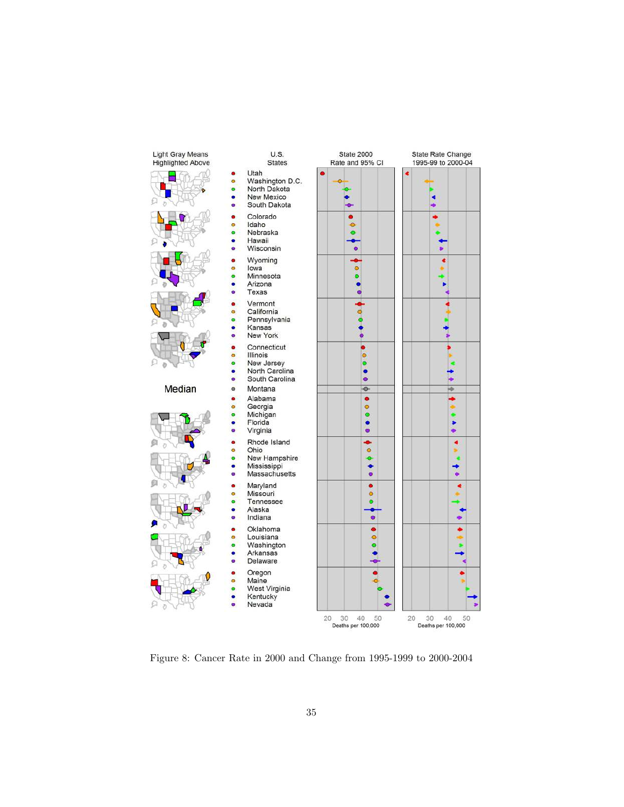

Figure 8: Cancer Rate in 2000 and Change from 1995-1999 to 2000-2004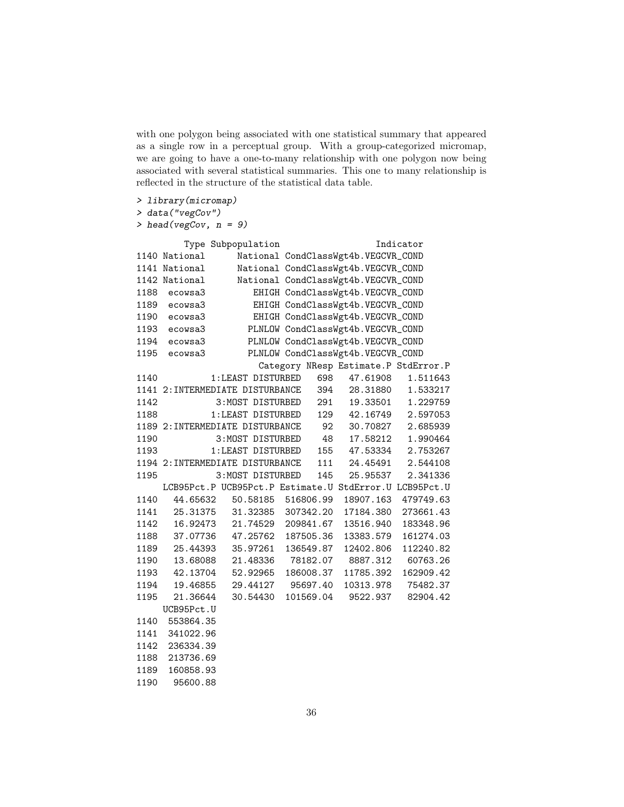with one polygon being associated with one statistical summary that appeared as a single row in a perceptual group. With a group-categorized micromap, we are going to have a one-to-many relationship with one polygon now being associated with several statistical summaries. This one to many relationship is reflected in the structure of the statistical data table.

*> library(micromap)*

```
> data("vegCov")
```
1190 95600.88

*> head(vegCov, n = 9)*

|      |               | Type Subpopulation                                     |                                      |                         | Indicator         |
|------|---------------|--------------------------------------------------------|--------------------------------------|-------------------------|-------------------|
|      | 1140 National |                                                        | National CondClassWgt4b.VEGCVR_COND  |                         |                   |
|      | 1141 National |                                                        | National CondClassWgt4b.VEGCVR_COND  |                         |                   |
|      | 1142 National |                                                        | National CondClassWgt4b.VEGCVR_COND  |                         |                   |
| 1188 | ecowsa3       |                                                        | EHIGH CondClassWgt4b.VEGCVR_COND     |                         |                   |
| 1189 | ecowsa3       |                                                        | EHIGH CondClassWgt4b.VEGCVR_COND     |                         |                   |
| 1190 | ecowsa3       |                                                        | EHIGH CondClassWgt4b.VEGCVR_COND     |                         |                   |
| 1193 | ecowsa3       |                                                        | PLNLOW CondClassWgt4b.VEGCVR_COND    |                         |                   |
| 1194 | ecowsa3       |                                                        | PLNLOW CondClassWgt4b.VEGCVR_COND    |                         |                   |
| 1195 | ecowsa3       |                                                        | PLNLOW CondClassWgt4b.VEGCVR_COND    |                         |                   |
|      |               |                                                        | Category NResp Estimate.P StdError.P |                         |                   |
| 1140 |               | 1:LEAST DISTURBED                                      |                                      | 698 47.61908            | 1.511643          |
|      |               | 1141 2: INTERMEDIATE DISTURBANCE                       | 394                                  | 28.31880  1.533217      |                   |
| 1142 |               | 3:MOST DISTURBED                                       |                                      | 291  19.33501  1.229759 |                   |
| 1188 |               | 1:LEAST DISTURBED                                      |                                      | 129  42.16749  2.597053 |                   |
|      |               | 1189 2: INTERMEDIATE DISTURBANCE                       |                                      | 92 30.70827 2.685939    |                   |
| 1190 |               | 3:MOST DISTURBED                                       | 48                                   | 17.58212                | 1.990464          |
| 1193 |               | 1:LEAST DISTURBED                                      | 155                                  |                         | 47.53334 2.753267 |
|      |               | 1194 2: INTERMEDIATE DISTURBANCE                       | 111                                  | 24.45491                | 2.544108          |
| 1195 |               | 3:MOST DISTURBED                                       | 145                                  | 25.95537                | 2.341336          |
|      |               | LCB95Pct.P UCB95Pct.P Estimate.U StdError.U LCB95Pct.U |                                      |                         |                   |
| 1140 | 44.65632      | 50.58185                                               | 516806.99                            | 18907.163               | 479749.63         |
| 1141 | 25.31375      | 31.32385                                               | 307342.20                            | 17184.380               | 273661.43         |
| 1142 | 16.92473      | 21.74529                                               | 209841.67                            | 13516.940               | 183348.96         |
| 1188 | 37.07736      | 47.25762                                               | 187505.36                            | 13383.579               | 161274.03         |
| 1189 | 25.44393      | 35.97261                                               | 136549.87                            | 12402.806               | 112240.82         |
| 1190 |               | 13.68088 21.48336                                      | 78182.07 8887.312                    |                         | 60763.26          |
| 1193 |               | 42.13704 52.92965                                      | 186008.37                            | 11785.392               | 162909.42         |
| 1194 | 19.46855      | 29.44127                                               | 95697.40                             | 10313.978               | 75482.37          |
| 1195 | 21.36644      | 30.54430                                               | 101569.04                            | 9522.937                | 82904.42          |
|      | UCB95Pct.U    |                                                        |                                      |                         |                   |
| 1140 | 553864.35     |                                                        |                                      |                         |                   |
| 1141 | 341022.96     |                                                        |                                      |                         |                   |
| 1142 | 236334.39     |                                                        |                                      |                         |                   |
| 1188 | 213736.69     |                                                        |                                      |                         |                   |
| 1189 | 160858.93     |                                                        |                                      |                         |                   |

36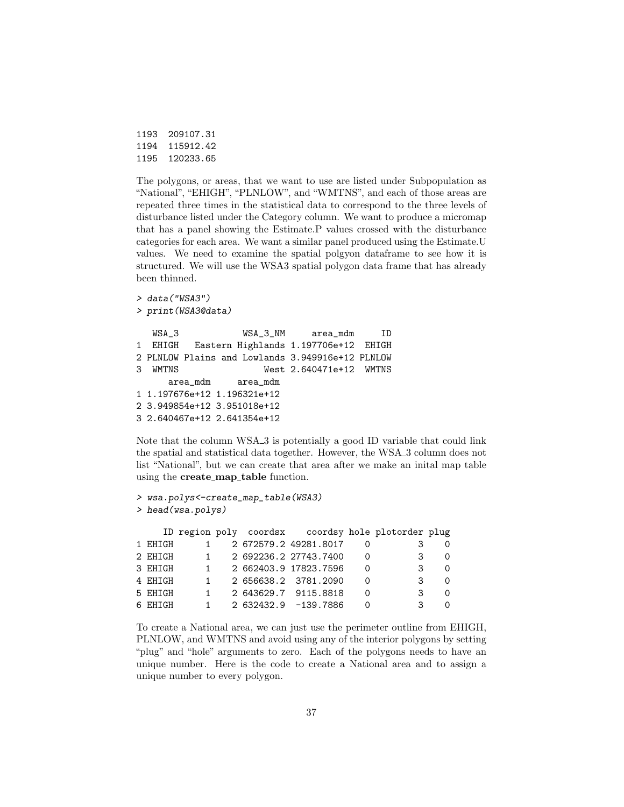| 1193 | 209107.31 |
|------|-----------|
| 1194 | 115912.42 |
| 1195 | 120233.65 |

The polygons, or areas, that we want to use are listed under Subpopulation as "National", "EHIGH", "PLNLOW", and "WMTNS", and each of those areas are repeated three times in the statistical data to correspond to the three levels of disturbance listed under the Category column. We want to produce a micromap that has a panel showing the Estimate.P values crossed with the disturbance categories for each area. We want a similar panel produced using the Estimate.U values. We need to examine the spatial polgyon dataframe to see how it is structured. We will use the WSA3 spatial polygon data frame that has already been thinned.

```
> data("WSA3")
> print(WSA3@data)
  WSA_3 WSA_3_NM area_mdm ID
1 EHIGH Eastern Highlands 1.197706e+12 EHIGH
2 PLNLOW Plains and Lowlands 3.949916e+12 PLNLOW
3 WMTNS West 2.640471e+12 WMTNS
     area_mdm area_mdm
1 1.197676e+12 1.196321e+12
2 3.949854e+12 3.951018e+12
3 2.640467e+12 2.641354e+12
```
Note that the column WSA 3 is potentially a good ID variable that could link the spatial and statistical data together. However, the WSA<sub>-3</sub> column does not list "National", but we can create that area after we make an inital map table using the **create\_map\_table** function.

```
> wsa.polys<-create_map_table(WSA3)
> head(wsa.polys)
```

|          |              |  | ID region poly coordsx coordsy hole plotorder plug |          |   |          |
|----------|--------------|--|----------------------------------------------------|----------|---|----------|
| 1 EHIGH  |              |  | 2 672579.2 49281.8017                              |          |   |          |
| 2 EHIGH  | 1            |  | 2 692236.2 27743.7400                              | ∩        | 3 | $\Omega$ |
| 3 EHIGH  | $1 \quad$    |  | 2 662403.9 17823.7596                              | 0        | 3 | ∩        |
| 4 EHIGH  | $\mathbf{1}$ |  | 2 656638.2 3781.2090                               | ∩        | 3 | $\Omega$ |
| 5 EHIGH  | 1            |  | 2 643629.7 9115.8818                               | $\Omega$ | 3 | ∩        |
| 6 F.HTGH | 1.           |  | 2 632432.9 -139.7886                               |          | 3 |          |

To create a National area, we can just use the perimeter outline from EHIGH, PLNLOW, and WMTNS and avoid using any of the interior polygons by setting "plug" and "hole" arguments to zero. Each of the polygons needs to have an unique number. Here is the code to create a National area and to assign a unique number to every polygon.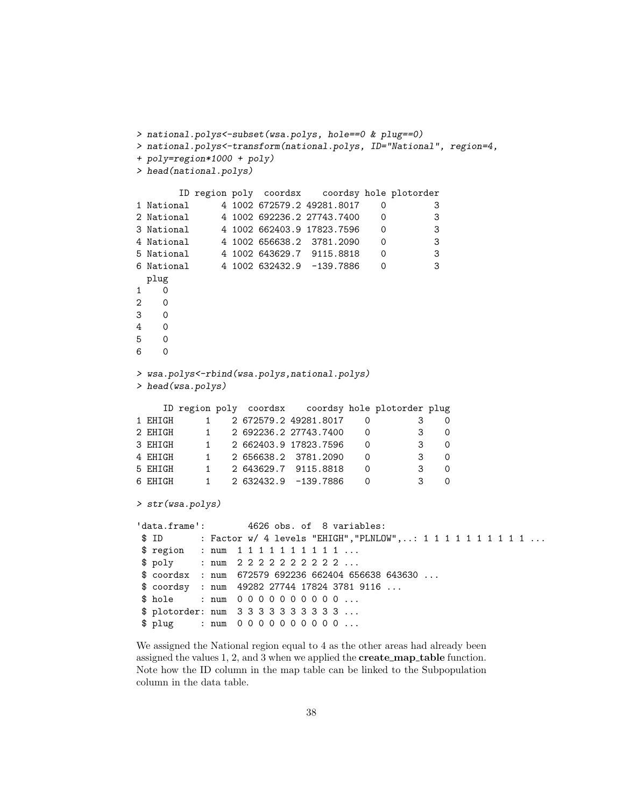```
> national.polys<-subset(wsa.polys, hole==0 & plug==0)
> national.polys<-transform(national.polys, ID="National", region=4,
+ poly=region*1000 + poly)
> head(national.polys)
      ID region poly coordsx coordsy hole plotorder
1 National 4 1002 672579.2 49281.8017 0 3
2 National 4 1002 692236.2 27743.7400 0 3
3 National 4 1002 662403.9 17823.7596 0 3
4 National 4 1002 656638.2 3781.2090 0 3
5 National 4 1002 643629.7 9115.8818 0 3
6 National 4 1002 632432.9 -139.7886 0 3
 plug
1 0
2 0
3 0
4 0
5 0
6 0
> wsa.polys<-rbind(wsa.polys,national.polys)
> head(wsa.polys)
    ID region poly coordsx coordsy hole plotorder plug
1 EHIGH 1 2 672579.2 49281.8017 0 3 0
2 EHIGH 1 2 692236.2 27743.7400 0 3 0
3 EHIGH 1 2 662403.9 17823.7596 0 3 0
4 EHIGH 1 2 656638.2 3781.2090 0 3 0
5 EHIGH 1 2 643629.7 9115.8818 0 3 0
6 EHIGH 1 2 632432.9 -139.7886 0 3 0
> str(wsa.polys)
'data.frame': 4626 obs. of 8 variables:
$ ID : Factor w/ 4 levels "EHIGH", "PLNLOW", ..: 1 1 1 1 1 1 1 1 1 1 ...
$ region : num 1 1 1 1 1 1 1 1 1 1 ...
$ poly : num 2 2 2 2 2 2 2 2 2 2 ...
$ coordsx : num 672579 692236 662404 656638 643630 ...
$ coordsy : num 49282 27744 17824 3781 9116 ...
$ hole : num 0 0 0 0 0 0 0 0 0 0 ...
$ plotorder: num 3 3 3 3 3 3 3 3 3 3 ...
$ plug : num 0 0 0 0 0 0 0 0 0 0 ...
```
We assigned the National region equal to 4 as the other areas had already been assigned the values 1, 2, and 3 when we applied the **create\_map\_table** function. Note how the ID column in the map table can be linked to the Subpopulation column in the data table.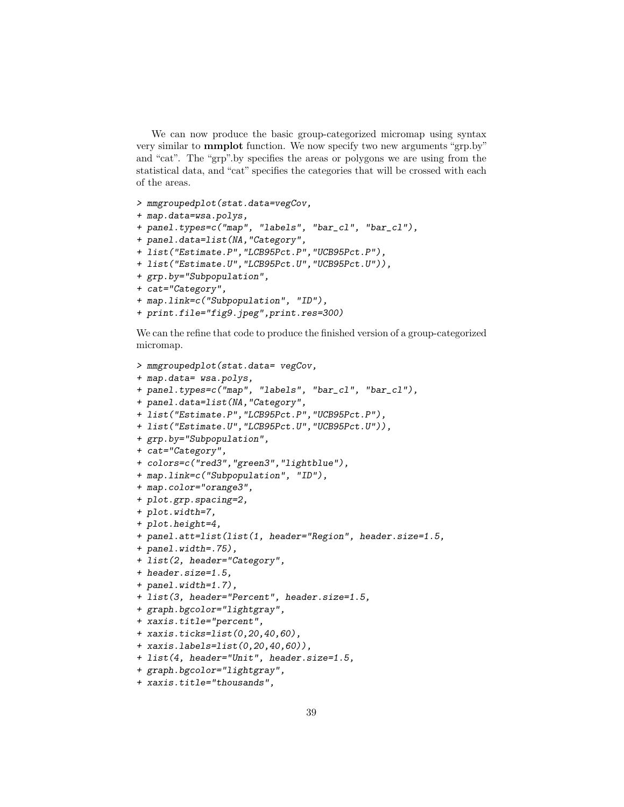We can now produce the basic group-categorized micromap using syntax very similar to mmplot function. We now specify two new arguments "grp.by" and "cat". The "grp".by specifies the areas or polygons we are using from the statistical data, and "cat" specifies the categories that will be crossed with each of the areas.

```
> mmgroupedplot(stat.data=vegCov,
+ map.data=wsa.polys,
+ panel.types=c("map", "labels", "bar_cl", "bar_cl"),
+ panel.data=list(NA,"Category",
+ list("Estimate.P","LCB95Pct.P","UCB95Pct.P"),
+ list("Estimate.U","LCB95Pct.U","UCB95Pct.U")),
+ grp.by="Subpopulation",
+ cat="Category",
+ map.link=c("Subpopulation", "ID"),
+ print.file="fig9.jpeg",print.res=300)
```
We can the refine that code to produce the finished version of a group-categorized micromap.

```
> mmgroupedplot(stat.data= vegCov,
+ map.data= wsa.polys,
+ panel.types=c("map", "labels", "bar_cl", "bar_cl"),
+ panel.data=list(NA,"Category",
+ list("Estimate.P","LCB95Pct.P","UCB95Pct.P"),
+ list("Estimate.U","LCB95Pct.U","UCB95Pct.U")),
+ grp.by="Subpopulation",
+ cat="Category",
+ colors=c("red3","green3","lightblue"),
+ map.link=c("Subpopulation", "ID"),
+ map.color="orange3",
+ plot.grp.spacing=2,
+ plot.width=7,
+ plot.height=4,
+ panel.att=list(list(1, header="Region", header.size=1.5,
+ panel.width=.75),
+ list(2, header="Category",
+ header.size=1.5,
+ panel.width=1.7),
+ list(3, header="Percent", header.size=1.5,
+ graph.bgcolor="lightgray",
+ xaxis.title="percent",
+ xaxis.ticks=list(0,20,40,60),
+ xaxis.labels=list(0,20,40,60)),
+ list(4, header="Unit", header.size=1.5,
+ graph.bgcolor="lightgray",
+ xaxis.title="thousands",
```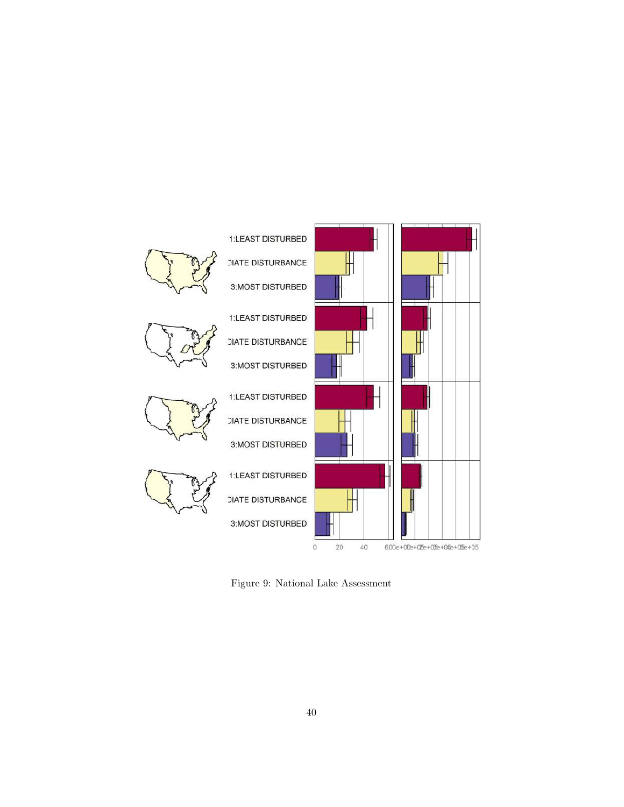

Figure 9: National Lake Assessment